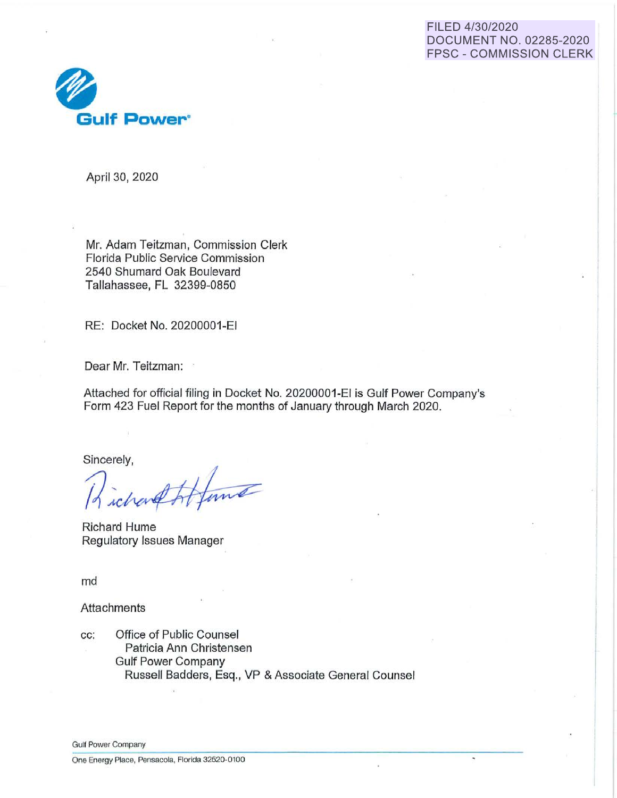#### FILED 4/30/2020 DOCUMENT NO. 02285-2020 FPSC - COMMISSION CLERK



April 30, 2020

Mr. Adam Teitzman, Commission Clerk Florida Public Service Commission 2540 Shumard Oak Boulevard Tallahassee, FL 32399-0850

RE: Docket No. 20200001-EI

Dear Mr. Teitzman:

Attached for official filing in Docket No. 20200001-EI is Gulf Power Company's Form 423 Fuel Report for the months of January through March 2020.

Sincerely,

Richard Hume Regulatory Issues Manager

md

**Attachments** 

cc: Office of Public Counsel Patricia Ann Christensen Gulf Power Company Russell Badders, Esq., VP & Associate General Counsel

Gulf Power Company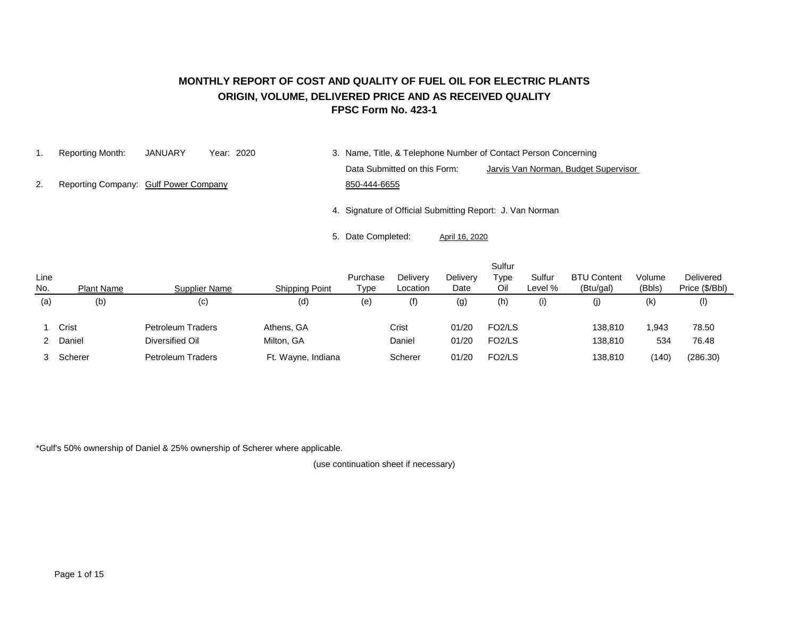#### **MONTHLY REPORT OF COST AND QUALITY OF FUEL OIL FOR ELECTRIC PLANTS ORIGIN, VOLUME, DELIVERED PRICE AND AS RECEIVED QUALITY FPSC Form No. 423-1**

1. Reporting Month: JANUARY Year: 2020 3. Name, Title, & Telephone Number of Contact Person Concerning Data Submitted on this Form: Jarvis Van Norman, Budget Supervisor

2. Reporting Company: Gulf Power Company 650-444-6655

4. Signature of Official Submitting Report: J. Van Norman

5. Date Completed: April 16, 2020

| Line<br>No. | <b>Plant Name</b> | Supplier Name                        | <b>Shipping Point</b>    | Purchase<br>Type | Delivery<br>Location | <b>Delivery</b><br>Date | Sulfur<br>Type<br>Oil                      | Sulfur<br>Level % | <b>BTU Content</b><br>(Btu/gal) | Volume<br>(Bbls) | Delivered<br>Price (\$/Bbl) |
|-------------|-------------------|--------------------------------------|--------------------------|------------------|----------------------|-------------------------|--------------------------------------------|-------------------|---------------------------------|------------------|-----------------------------|
| (a)         | (b)               | (c)                                  | (d)                      | (e)              | (f)                  | (g)                     | (h)                                        | (i)               | (j)                             | (k)              | (1)                         |
|             | Crist<br>Daniel   | Petroleum Traders<br>Diversified Oil | Athens, GA<br>Milton, GA |                  | Crist<br>Daniel      | 01/20<br>01/20          | FO <sub>2</sub> /LS<br>FO <sub>2</sub> /LS |                   | 138,810<br>138,810              | 1,943<br>534     | 78.50<br>76.48              |
|             | Scherer           | <b>Petroleum Traders</b>             | Ft. Wayne, Indiana       |                  | Scherer              | 01/20                   | FO <sub>2</sub> /LS                        |                   | 138,810                         | (140)            | (286.30)                    |

\*Gulf's 50% ownership of Daniel & 25% ownership of Scherer where applicable.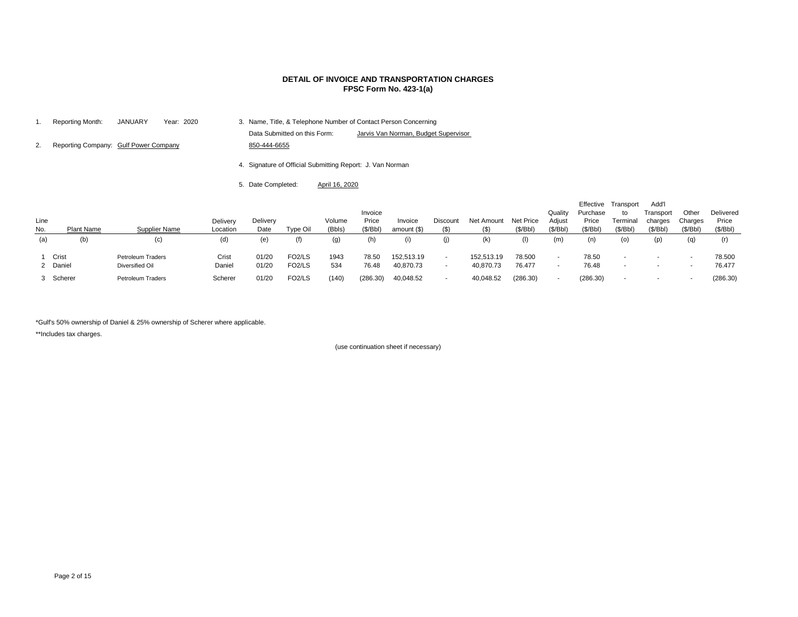| 1.          | Reporting Month:                      | <b>JANUARY</b>       | Year: 2020 |                      |                    |                              |                                                           |                              | 3. Name, Title, & Telephone Number of Contact Person Concerning |                            |                       |                       |                               |          |
|-------------|---------------------------------------|----------------------|------------|----------------------|--------------------|------------------------------|-----------------------------------------------------------|------------------------------|-----------------------------------------------------------------|----------------------------|-----------------------|-----------------------|-------------------------------|----------|
|             |                                       |                      |            |                      |                    | Data Submitted on this Form: |                                                           |                              | Jarvis Van Norman, Budget Supervisor                            |                            |                       |                       |                               |          |
| 2.          | Reporting Company: Gulf Power Company |                      |            |                      | 850-444-6655       |                              |                                                           |                              |                                                                 |                            |                       |                       |                               |          |
|             |                                       |                      |            |                      |                    |                              | 4. Signature of Official Submitting Report: J. Van Norman |                              |                                                                 |                            |                       |                       |                               |          |
|             |                                       |                      |            |                      | 5. Date Completed: |                              | April 16, 2020                                            |                              |                                                                 |                            |                       |                       |                               |          |
| Line<br>No. | <b>Plant Name</b>                     | <b>Supplier Name</b> |            | Delivery<br>Location | Delivery<br>Date   | Type Oil                     | Volume<br>(Bbls)                                          | Invoice<br>Price<br>(\$/Bbl) | Invoice<br>amount $(\$)$                                        | <b>Discount</b><br>$($ \$) | Net Amount<br>$($ \$) | Net Price<br>(\$/Bbl) | Quality<br>Adjust<br>(\$/Bbl) | Ef<br>Ρı |
| (a)         | (b)                                   | (c)                  |            | (d)                  | (e)                | (f)                          | (g)                                                       | (h)                          | (i)                                                             | (j)                        | (k)                   | (1)                   | (m)                           |          |
|             |                                       |                      |            |                      |                    |                              |                                                           |                              |                                                                 |                            |                       |                       |                               |          |

|             |                   |                          |                      |                  |                     |                  | Invoice           |                        |                          |                       |                       | Quality            | Effective<br>Purchase | Transport<br>to          | Add'l<br>Transport  | Other               | Delivered         |
|-------------|-------------------|--------------------------|----------------------|------------------|---------------------|------------------|-------------------|------------------------|--------------------------|-----------------------|-----------------------|--------------------|-----------------------|--------------------------|---------------------|---------------------|-------------------|
| Line<br>No. | <b>Plant Name</b> | <b>Supplier Name</b>     | Delivery<br>Location | Delivery<br>Date | Type Oil            | Volume<br>(Bbls) | Price<br>(\$/Bbl) | Invoice<br>amount (\$) | Discount<br>$($ \$)      | Net Amount<br>$($ \$) | Net Price<br>(\$/Bbl) | Adjust<br>(\$/Bbl) | Price<br>(\$/Bbl)     | Terminal<br>(\$/Bbl)     | charges<br>(\$/Bbl) | Charges<br>(\$/Bbl) | Price<br>(\$/Bbl) |
| (a)         | (b)               | (c)                      | (d)                  | (e)              | (f)                 | (g)              | (h)               |                        |                          | (k)                   | (I)                   | (m)                | (n)                   | (0)                      | (p)                 | (q)                 | (r)               |
|             | 1 Crist           | <b>Petroleum Traders</b> | Crist                | 01/20            | FO <sub>2</sub> /LS | 1943             | 78.50             | 152,513.19             | $\overline{\phantom{a}}$ | 152,513.19            | 78.500                |                    | 78.50                 | $\overline{\phantom{a}}$ | ж.                  |                     | 78.500            |
|             | 2 Daniel          | Diversified Oil          | Daniel               | 01/20            | FO <sub>2</sub> /LS | 534              | 76.48             | 40,870.73              | $\overline{\phantom{a}}$ | 40,870.73             | 76.477                |                    | 76.48                 | $\sim$                   |                     |                     | 76.477            |
|             | 3 Scherer         | <b>Petroleum Traders</b> | Scherer              | 01/20            | FO <sub>2</sub> /LS | (140)            | (286.30)          | 40,048.52              | $\overline{\phantom{a}}$ | 40,048.52             | (286.30)              |                    | (286.30)              | $\overline{\phantom{a}}$ |                     |                     | (286.30)          |

\*Gulf's 50% ownership of Daniel & 25% ownership of Scherer where applicable.

\*\*Includes tax charges.

## **DETAIL OF INVOICE AND TRANSPORTATION CHARGES FPSC Form No. 423-1(a)**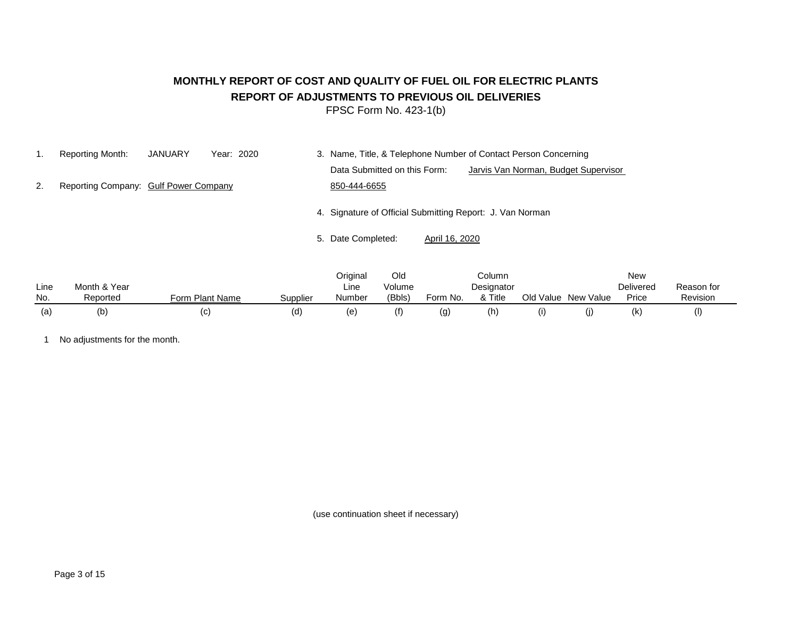# **MONTHLY REPORT OF COST AND QUALITY OF FUEL OIL FOR ELECTRIC PLANTS REPORT OF ADJUSTMENTS TO PREVIOUS OIL DELIVERIES**

FPSC Form No. 423-1(b)

1. Reporting Month: JANUARY Year: 2020 3. Name, Title, & Telephone Number of Contact Person Concerning Data Submitted on this Form: Jarvis Van Norman, Budget Supervisor 2. Reporting Company: Gulf Power Company 650-444-6655 4. Signature of Official Submitting Report: J. Van Norman

5. Date Completed: April 16, 2020

|      |              |                 |          | Original | Old    |          | Column     |           |           | New              |            |
|------|--------------|-----------------|----------|----------|--------|----------|------------|-----------|-----------|------------------|------------|
| Line | Month & Year |                 |          | Line     | Volume |          | Designator |           |           | <b>Delivered</b> | Reason for |
| No.  | Reported     | Form Plant Name | Supplier | Number   | (Bbls) | Form No. | & Title    | Old Value | New Value | Price            | Revision   |
| (a)  | (b)          | (C)             | (d)      | (e       |        | (g)      | (h         |           | w         | (k)              |            |

1 No adjustments for the month.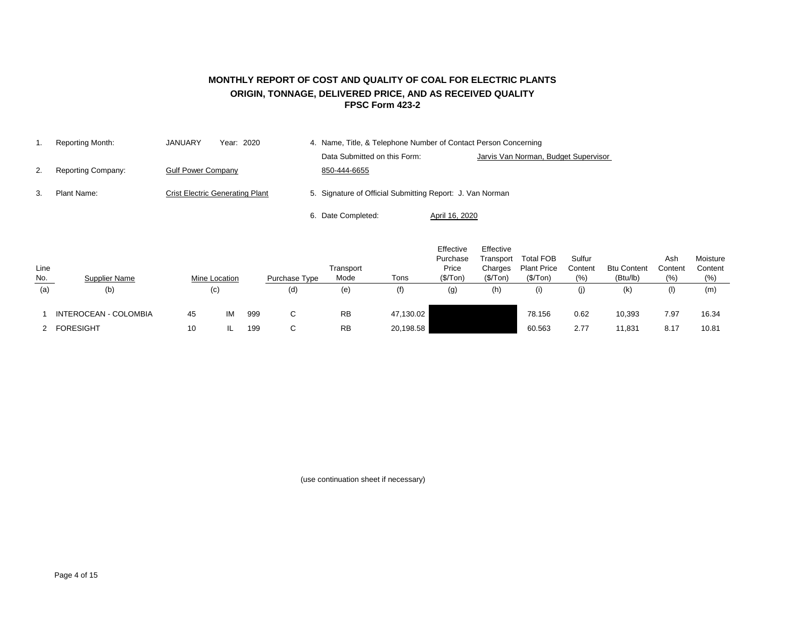## **FPSC Form 423-2 MONTHLY REPORT OF COST AND QUALITY OF COAL FOR ELECTRIC PLANTS ORIGIN, TONNAGE, DELIVERED PRICE, AND AS RECEIVED QUALITY**

|    | Reporting Month:   | JANUARY<br>Year: 2020                  | 4. Name, Title, & Telephone Number of Contact Person Concerning      |  |
|----|--------------------|----------------------------------------|----------------------------------------------------------------------|--|
|    |                    |                                        | Data Submitted on this Form:<br>Jarvis Van Norman, Budget Supervisor |  |
| 2. | Reporting Company: | <b>Gulf Power Company</b>              | 850-444-6655                                                         |  |
| 3. | Plant Name:        | <b>Crist Electric Generating Plant</b> | 5. Signature of Official Submitting Report: J. Van Norman            |  |
|    |                    |                                        | 6. Date Completed:<br>April 16, 2020                                 |  |

| Line<br><u>No.</u> | <b>Supplier Name</b>  | <b>Mine Location</b> |    |     | Purchase Type | Transport<br>Mode | Tons      | Effective<br>Purchase<br>Price<br>(\$/ Ton) | Effective<br>Transport<br>Charges<br>(\$/Top) | <b>Total FOB</b><br><b>Plant Price</b><br>(\$/Top) | Sulfur<br>Content<br>(% ) | <b>Btu Content</b><br>(Btu/lb) | Ash<br>Content<br>(% ) | Moisture<br>Content<br>(% ) |
|--------------------|-----------------------|----------------------|----|-----|---------------|-------------------|-----------|---------------------------------------------|-----------------------------------------------|----------------------------------------------------|---------------------------|--------------------------------|------------------------|-----------------------------|
| (a)                | (b)                   | (c)                  |    |     | (d)           | (e)               | (f)       | (g)                                         | (h)                                           | (i)                                                | (j)                       | (k)                            | (1)                    | (m)                         |
|                    | INTEROCEAN - COLOMBIA | 45                   | IM | 999 | $\sim$<br>◡   | <b>RB</b>         | 47,130.02 |                                             |                                               | 78.156                                             | 0.62                      | 10,393                         | 7.97                   | 16.34                       |
|                    | 2 FORESIGHT           | 10                   |    | 199 | $\sim$<br>◡   | <b>RB</b>         | 20,198.58 |                                             |                                               | 60.563                                             | 2.77                      | 11,831                         | 8.17                   | 10.81                       |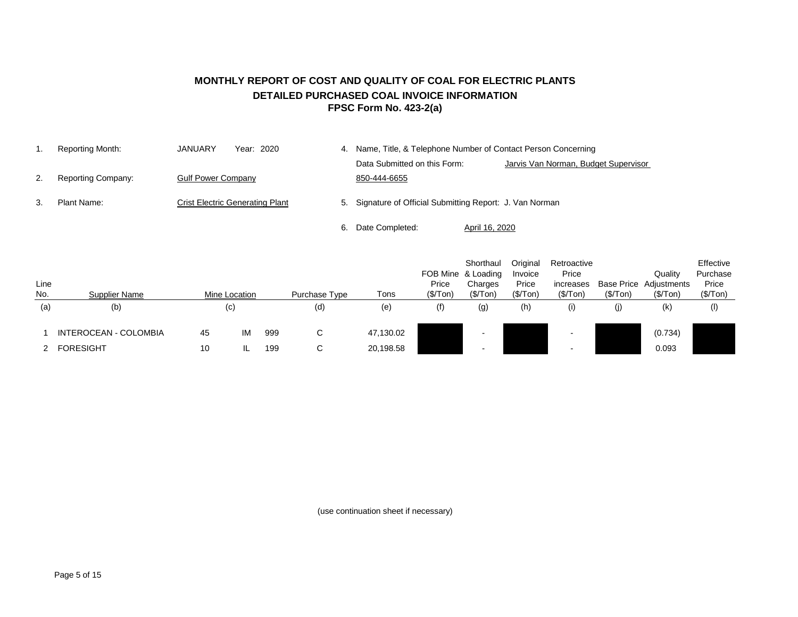## **MONTHLY REPORT OF COST AND QUALITY OF COAL FOR ELECTRIC PLANTS DETAILED PURCHASED COAL INVOICE INFORMATION FPSC Form No. 423-2(a)**

|    | Reporting Month:          | JANUARY<br>Year: 2020                  |    |                                                           | Name, Title, & Telephone Number of Contact Person Concerning |
|----|---------------------------|----------------------------------------|----|-----------------------------------------------------------|--------------------------------------------------------------|
|    |                           |                                        |    | Data Submitted on this Form:                              | Jarvis Van Norman, Budget Supervisor                         |
|    | <b>Reporting Company:</b> | <b>Gulf Power Company</b>              |    | 850-444-6655                                              |                                                              |
| З. | Plant Name:               | <b>Crist Electric Generating Plant</b> |    | 5. Signature of Official Submitting Report: J. Van Norman |                                                              |
|    |                           |                                        | 6. | Date Completed:                                           | April 16, 2020                                               |

| Line<br>No. | <b>Supplier Name</b>  |    | Mine Location     |     | Purchase Type | Tons      | Price<br>(\$/ Ton) | Shorthaul<br>FOB Mine & Loading<br>Charges<br>(\$/Top) | Original<br>Invoice<br>Price<br>(\$/Top) | Retroactive<br>Price<br>increases<br>(\$/Top) | (\$/Top) | Quality<br><b>Base Price Adjustments</b><br>(\$/Top) | Effective<br>Purchase<br>Price<br>(\$/Top) |
|-------------|-----------------------|----|-------------------|-----|---------------|-----------|--------------------|--------------------------------------------------------|------------------------------------------|-----------------------------------------------|----------|------------------------------------------------------|--------------------------------------------|
| (a)         | (b)                   |    | $\left( c\right)$ |     | (d)           | (e)       | (f)                | (g)                                                    | (h)                                      | (i)                                           | (j)      | (k)                                                  | $($ l $)$                                  |
|             | INTEROCEAN - COLOMBIA | 45 | IM                | 999 | C.            | 47,130.02 |                    |                                                        |                                          |                                               |          | (0.734)                                              |                                            |
|             | <b>FORESIGHT</b>      | 10 |                   | 199 | C.            | 20,198.58 |                    |                                                        |                                          |                                               |          | 0.093                                                |                                            |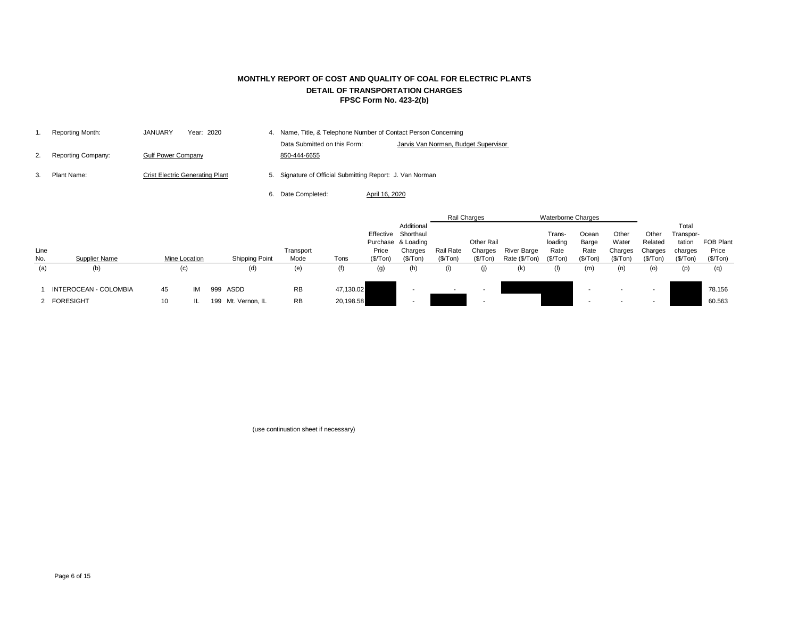|    | Reporting Month:          | <b>JANUARY</b><br>Year: 2020           | 4. Name, Title, & Telephone Number of Contact Person Concerning |                                      |
|----|---------------------------|----------------------------------------|-----------------------------------------------------------------|--------------------------------------|
|    |                           |                                        | Data Submitted on this Form:                                    | Jarvis Van Norman, Budget Supervisor |
| 2. | <b>Reporting Company:</b> | <b>Gulf Power Company</b>              | 850-444-6655                                                    |                                      |
|    | Plant Name:               | <b>Crist Electric Generating Plant</b> | 5. Signature of Official Submitting Report: J. Van Norman       |                                      |

6. Date Completed: April 16, 2020

|      |                              |    |               |                       |           |           |                   |                     |                  | Rail Charges             |               | <b>Waterborne Charges</b> |           |          |          |           |                  |
|------|------------------------------|----|---------------|-----------------------|-----------|-----------|-------------------|---------------------|------------------|--------------------------|---------------|---------------------------|-----------|----------|----------|-----------|------------------|
|      |                              |    |               |                       |           |           |                   | Additional          |                  |                          |               |                           |           |          |          | Total     |                  |
|      |                              |    |               |                       |           |           |                   | Effective Shorthaul |                  |                          |               | Trans-                    | Ocean     | Other    | Other    | Transpor- |                  |
|      |                              |    |               |                       |           |           |                   | Purchase & Loading  |                  | Other Rail               |               | loading                   | Barge     | Water    | Related  | tation    | <b>FOB Plant</b> |
| Line |                              |    |               |                       | Transport |           | Price             | Charges             | <b>Rail Rate</b> | Charges                  | River Barge   | Rate                      | Rate      | Charges  | Charges  | charges   | Price            |
| No.  | Supplier Name                |    | Mine Location | <b>Shipping Point</b> | Mode      | Tons      | (\$/Ton)          | (\$/Top)            | (\$/Top)         | (\$/Ton)                 | Rate (\$/Ton) | (\$/Ton)                  | (\$/ Ton) | (\$/Ton) | (\$/Top) | (\$/ Ton) | (\$/Top)         |
| (a)  | (b)                          |    | (c)           | (d)                   | (e)       | (f)       | $\left( 9\right)$ | (h)                 | (i)              | (j)                      | (k)           | (I)                       | (m)       | (n)      | (o)      | (p)       | (q)              |
|      |                              |    |               |                       |           |           |                   |                     |                  |                          |               |                           |           |          |          |           |                  |
|      | <b>INTEROCEAN - COLOMBIA</b> | 45 | IM            | 999 ASDD              | <b>RB</b> | 47,130.02 |                   |                     | $\sim$           | $\sim$                   |               |                           |           |          |          |           | 78.156           |
|      | 2 FORESIGHT                  | 10 |               | 199 Mt. Vernon, IL    | <b>RB</b> | 20,198.58 |                   |                     |                  | $\overline{\phantom{a}}$ |               |                           |           |          | -        |           | 60.563           |

(use continuation sheet if necessary)

## **MONTHLY REPORT OF COST AND QUALITY OF COAL FOR ELECTRIC PLANTS DETAIL OF TRANSPORTATION CHARGES FPSC Form No. 423-2(b)**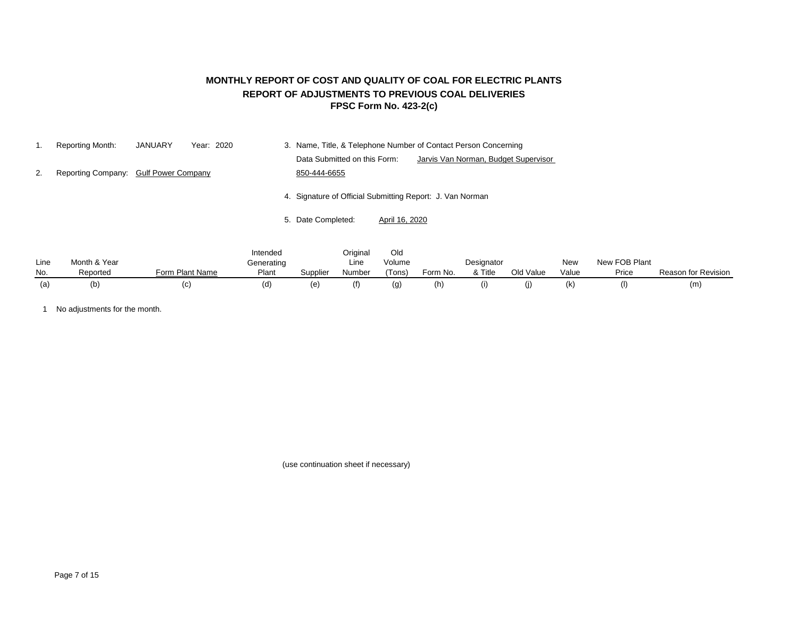## **FPSC Form No. 423-2(c) MONTHLY REPORT OF COST AND QUALITY OF COAL FOR ELECTRIC PLANTS REPORT OF ADJUSTMENTS TO PREVIOUS COAL DELIVERIES**

|    | <b>Reporting Month:</b>               | <b>JANUARY</b> | Year: 2020 | 3. Name, Title, & Telephone Number of Contact Person Concerning      |
|----|---------------------------------------|----------------|------------|----------------------------------------------------------------------|
|    |                                       |                |            | Data Submitted on this Form:<br>Jarvis Van Norman, Budget Supervisor |
| 2. | Reporting Company: Gulf Power Company |                |            | 850-444-6655                                                         |
|    |                                       |                |            | 4. Signature of Official Submitting Report: J. Van Norman            |
|    |                                       |                |            | 5. Date Completed:<br>April 16, 2020                                 |

|      |              |                 | Intended   |          | Original | Old    |          |            |           |       |               |                            |
|------|--------------|-----------------|------------|----------|----------|--------|----------|------------|-----------|-------|---------------|----------------------------|
| Line | Month & Year |                 | Generating |          | Line     | Volume |          | Designator |           | New   | New FOB Plant |                            |
| No.  | Reported     | Form Plant Name | Plant      | Supplier | Number   | 'Tons) | Form No. | & Title    | Old Value | Value | Price         | <b>Reason for Revision</b> |
| (a)  | (b           | ו ט             | (CI)       | e)       |          |        | (h)      |            | O)        | (k)   | (             | (m)                        |

1 No adjustments for the month.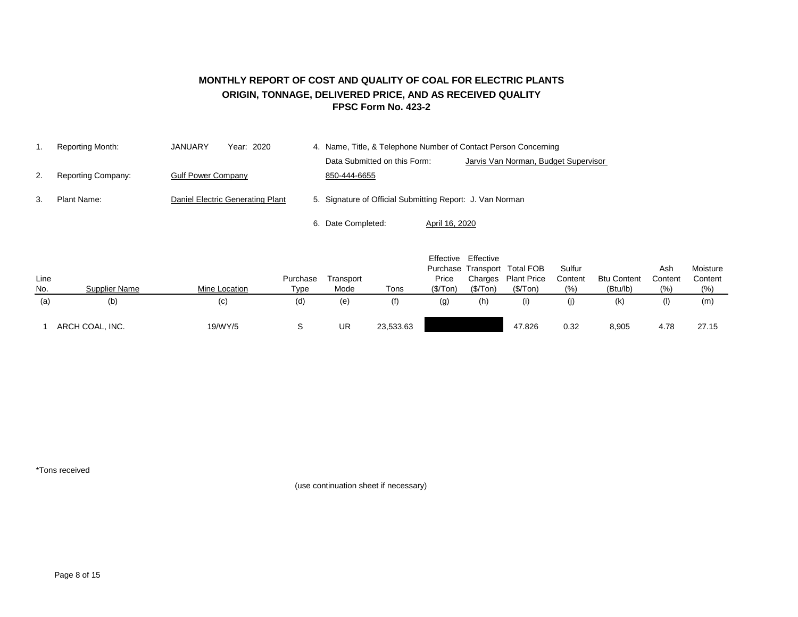### **MONTHLY REPORT OF COST AND QUALITY OF COAL FOR ELECTRIC PLANTS ORIGIN, TONNAGE, DELIVERED PRICE, AND AS RECEIVED QUALITY FPSC Form No. 423-2**

|    | Reporting Month:          | JANUARY                   | Year: 2020                       | 4. Name, Title, & Telephone Number of Contact Person Concerning |                                      |  |  |  |  |
|----|---------------------------|---------------------------|----------------------------------|-----------------------------------------------------------------|--------------------------------------|--|--|--|--|
|    |                           |                           |                                  | Data Submitted on this Form:                                    | Jarvis Van Norman, Budget Supervisor |  |  |  |  |
| 2. | <b>Reporting Company:</b> | <b>Gulf Power Company</b> |                                  | 850-444-6655                                                    |                                      |  |  |  |  |
| 3. | Plant Name:               |                           | Daniel Electric Generating Plant | 5. Signature of Official Submitting Report: J. Van Norman       |                                      |  |  |  |  |
|    |                           |                           |                                  | 6. Date Completed:                                              | April 16, 2020                       |  |  |  |  |

|      |                      |               |          |           |           | Effective | Effective |                              |         |                    |           |          |
|------|----------------------|---------------|----------|-----------|-----------|-----------|-----------|------------------------------|---------|--------------------|-----------|----------|
|      |                      |               |          |           |           |           |           | Purchase Transport Total FOB | Sulfur  |                    | Ash       | Moisture |
| Line |                      |               | Purchase | Transport |           | Price     | Charges   | <b>Plant Price</b>           | Content | <b>Btu Content</b> | Content   | Content  |
| No.  | <b>Supplier Name</b> | Mine Location | Type     | Mode      | Tons      | (\$/ Ton) | (\$/Top)  | (\$/Top)                     | (% )    | (Btu/lb)           | (% )      | (% )     |
| (a)  | (b)                  | (c)           | (d)      | (e)       | (f)       | (g)       | (h)       |                              |         | (k)                | $($ l $)$ | (m)      |
|      |                      |               |          |           |           |           |           |                              |         |                    |           |          |
|      | ARCH COAL, INC.      | 19/WY/5       |          | UR        | 23,533.63 |           |           | 47.826                       | 0.32    | 8,905              | 4.78      | 27.15    |

\*Tons received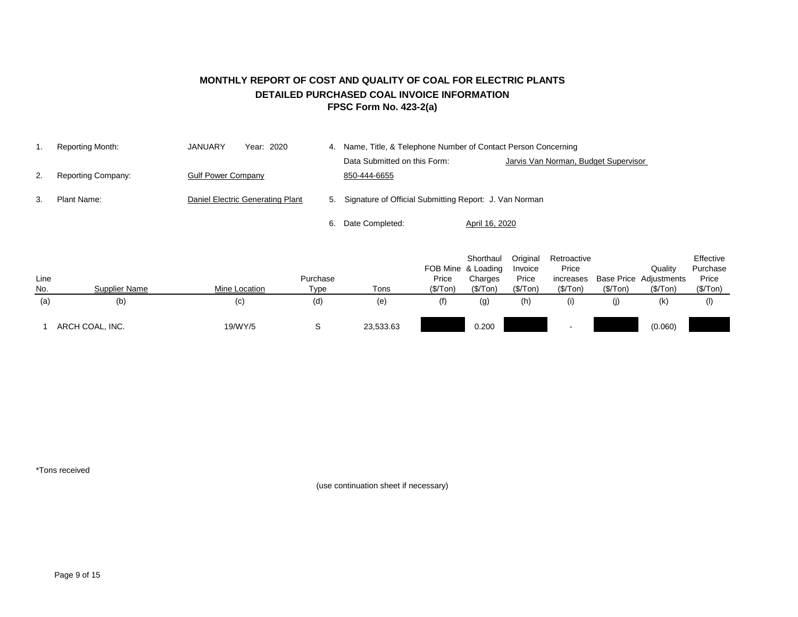## **MONTHLY REPORT OF COST AND QUALITY OF COAL FOR ELECTRIC PLANTS DETAILED PURCHASED COAL INVOICE INFORMATION FPSC Form No. 423-2(a)**

|    | Reporting Month:          | JANUARY                   | Year: 2020                       | 4. | Name, Title, & Telephone Number of Contact Person Concerning |                                      |  |  |  |  |  |
|----|---------------------------|---------------------------|----------------------------------|----|--------------------------------------------------------------|--------------------------------------|--|--|--|--|--|
|    |                           |                           |                                  |    | Data Submitted on this Form:                                 | Jarvis Van Norman, Budget Supervisor |  |  |  |  |  |
| 2. | <b>Reporting Company:</b> | <b>Gulf Power Company</b> |                                  |    | 850-444-6655                                                 |                                      |  |  |  |  |  |
| 3. | Plant Name:               |                           | Daniel Electric Generating Plant |    | 5. Signature of Official Submitting Report: J. Van Norman    |                                      |  |  |  |  |  |
|    |                           |                           |                                  |    | Date Completed:                                              | April 16, 2020                       |  |  |  |  |  |

|      |                 |               |          |           |           | Shorthaul          | Original | Retroactive              |          |                               | Effective |
|------|-----------------|---------------|----------|-----------|-----------|--------------------|----------|--------------------------|----------|-------------------------------|-----------|
|      |                 |               |          |           |           | FOB Mine & Loading | Invoice  | Price                    |          | Quality                       | Purchase  |
| Line |                 |               | Purchase |           | Price     | Charges            | Price    | increases                |          | <b>Base Price Adjustments</b> | Price     |
| No.  | Supplier Name   | Mine Location | Type     | Tons      | (\$/ Ton) | (\$/Top)           | (\$/Tom) | (\$/ Ton)                | (\$/Top) | (\$/ Ton)                     | (\$/Top)  |
| (a)  | (b)             | (c)           | (d)      | (e)       | (f)       | $\left( 9\right)$  | (h)      | (i)                      | (J)      | (k)                           | $^{(1)}$  |
|      |                 |               |          |           |           |                    |          |                          |          |                               |           |
|      | ARCH COAL, INC. | 19/WY/5       | ີ        | 23,533.63 |           | 0.200              |          | $\overline{\phantom{a}}$ |          | (0.060)                       |           |

\*Tons received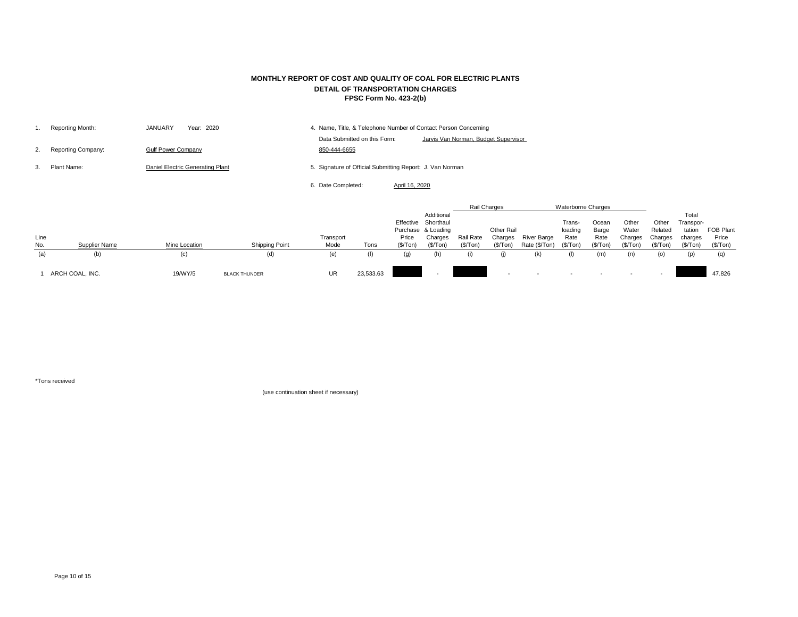|    | Reporting Month:          | <b>JANUARY</b><br>Year: 2020     | 4. Name, Title, & Telephone Number of Contact Person Concerning |                                      |
|----|---------------------------|----------------------------------|-----------------------------------------------------------------|--------------------------------------|
|    |                           |                                  | Data Submitted on this Form:                                    | Jarvis Van Norman, Budget Supervisor |
| 2. | <b>Reporting Company:</b> | <b>Gulf Power Company</b>        | 850-444-6655                                                    |                                      |
|    | Plant Name:               | Daniel Electric Generating Plant | 5. Signature of Official Submitting Report: J. Van Norman       |                                      |
|    |                           |                                  | 6. Date Completed:<br>April 16, 2020                            |                                      |
|    |                           |                                  |                                                                 |                                      |

|             |                      |                      |                       |                   |           |                    |                                                                                |                        | Rail Charges                             |                                     | <b>Waterborne Charges</b>              |                                     |                                        |                                         |                                                     |                                       |
|-------------|----------------------|----------------------|-----------------------|-------------------|-----------|--------------------|--------------------------------------------------------------------------------|------------------------|------------------------------------------|-------------------------------------|----------------------------------------|-------------------------------------|----------------------------------------|-----------------------------------------|-----------------------------------------------------|---------------------------------------|
| Line<br>No. | <b>Supplier Name</b> | <b>Mine Location</b> | <b>Shipping Point</b> | Transport<br>Mode | Tons      | Price<br>(\$/ Ton) | Additional<br>Effective Shorthaul<br>Purchase & Loading<br>Charges<br>(\$/Top) | Rail Rate<br>(\$/ Ton) | <b>Other Rail</b><br>Charges<br>(\$/Ton) | <b>River Barge</b><br>Rate (\$/Ton) | Trans-<br>loading<br>Rate<br>(\$/ Ton) | Ocean<br>Barge<br>Rate<br>(\$/ Ton) | Other<br>Water<br>Charges<br>(\$/ Ton) | Other<br>Related<br>Charges<br>(\$/Top) | Total<br>Transpor-<br>tation<br>charges<br>(\$/Top) | <b>FOB Plant</b><br>Price<br>(\$/Top) |
| (a)         | (b)                  | (c)                  | (d)                   | (e)               |           | (g)                | (h)                                                                            | (i)                    |                                          | (k)                                 |                                        | (m)                                 | (n)                                    | (O)                                     | (p)                                                 | (q)                                   |
|             | ARCH COAL, INC.      | 19/WY/5              | <b>BLACK THUNDER</b>  | <b>UR</b>         | 23,533.63 |                    |                                                                                |                        |                                          |                                     |                                        |                                     |                                        |                                         |                                                     | 47.826                                |

\*Tons received

## **MONTHLY REPORT OF COST AND QUALITY OF COAL FOR ELECTRIC PLANTS DETAIL OF TRANSPORTATION CHARGES FPSC Form No. 423-2(b)**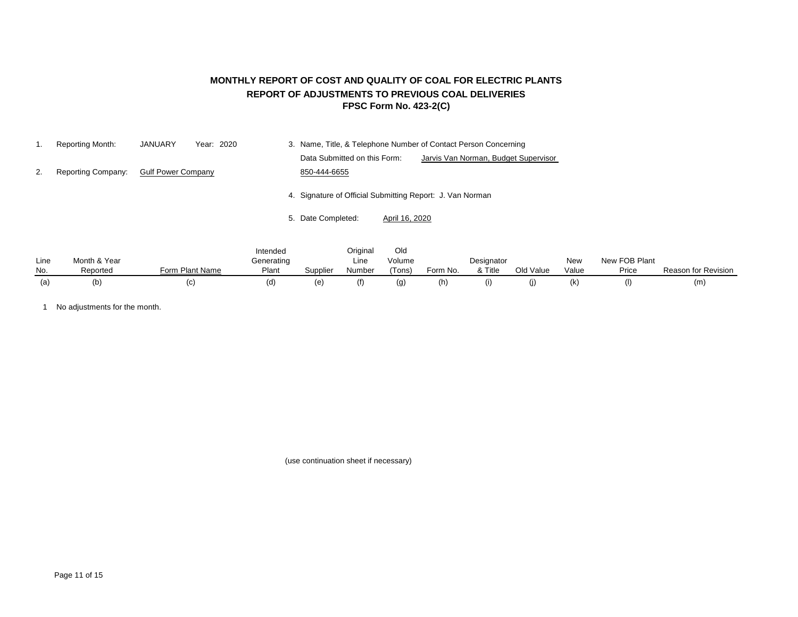## **MONTHLY REPORT OF COST AND QUALITY OF COAL FOR ELECTRIC PLANTS REPORT OF ADJUSTMENTS TO PREVIOUS COAL DELIVERIES FPSC Form No. 423-2(C)**

|    | Reporting Month:          | <b>JANUARY</b><br>Year: 2020 | 3. Name, Title, & Telephone Number of Contact Person Concerning      |
|----|---------------------------|------------------------------|----------------------------------------------------------------------|
|    |                           |                              | Data Submitted on this Form:<br>Jarvis Van Norman, Budget Supervisor |
| 2. | <b>Reporting Company:</b> | <b>Gulf Power Company</b>    | 850-444-6655                                                         |
|    |                           |                              | 4. Signature of Official Submitting Report: J. Van Norman            |
|    |                           |                              | 5. Date Completed:<br>April 16, 2020                                 |
|    |                           |                              | Original<br>Old<br>Intended                                          |

| Line | Month & Year |                      | <br>Generating |          | <b>00000000000000000</b><br>Line | <u>viu</u><br>Volume |          | Designator |           | New   | New FOB Plant |                     |
|------|--------------|----------------------|----------------|----------|----------------------------------|----------------------|----------|------------|-----------|-------|---------------|---------------------|
| No.  | Reported     | ı Plant Name<br>Form | Plant          | Supplier | Number                           | $\sqrt{2}$<br>Tons)  | Form No. | & Title    | Old Value | Value | Price         | Reason for Revision |
|      | (b)          |                      | (d)            | (e       |                                  | (g)                  | 'n)      | $\vert$    |           | (K)   | Œ             | (m                  |

1 No adjustments for the month.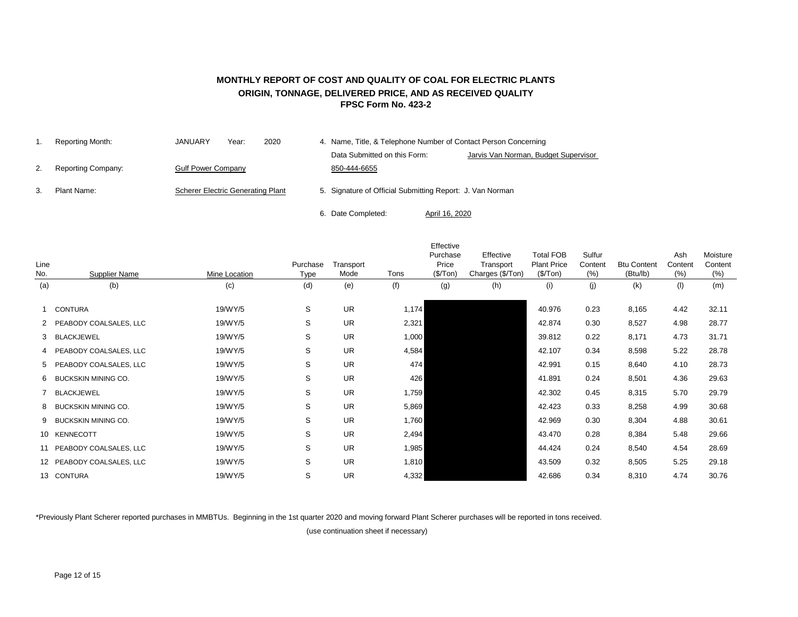### **MONTHLY REPORT OF COST AND QUALITY OF COAL FOR ELECTRIC PLANTS ORIGIN, TONNAGE, DELIVERED PRICE, AND AS RECEIVED QUALITY FPSC Form No. 423-2**

| Reporting Month:          | <b>JANUARY</b><br>Year:                  | 2020 | 4. Name, Title, & Telephone Number of Contact Person Concerning |                                                           |                |                                      |  |  |  |
|---------------------------|------------------------------------------|------|-----------------------------------------------------------------|-----------------------------------------------------------|----------------|--------------------------------------|--|--|--|
|                           |                                          |      |                                                                 | Data Submitted on this Form:                              |                | Jarvis Van Norman, Budget Supervisor |  |  |  |
| <b>Reporting Company:</b> | <b>Gulf Power Company</b>                |      |                                                                 | 850-444-6655                                              |                |                                      |  |  |  |
| Plant Name:               | <b>Scherer Electric Generating Plant</b> |      |                                                                 | 5. Signature of Official Submitting Report: J. Van Norman |                |                                      |  |  |  |
|                           |                                          |      |                                                                 | 6. Date Completed:                                        | April 16, 2020 |                                      |  |  |  |

|      |                           |               |             |           |       | Effective |                  |                    |         |                    |         |          |
|------|---------------------------|---------------|-------------|-----------|-------|-----------|------------------|--------------------|---------|--------------------|---------|----------|
|      |                           |               |             |           |       | Purchase  | Effective        | <b>Total FOB</b>   | Sulfur  |                    | Ash     | Moisture |
| Line |                           |               | Purchase    | Transport |       | Price     | Transport        | <b>Plant Price</b> | Content | <b>Btu Content</b> | Content | Content  |
| No.  | <b>Supplier Name</b>      | Mine Location | <b>Type</b> | Mode      | Tons  | (\$/Top)  | Charges (\$/Ton) | (\$/ Ton)          | (% )    | (Btu/lb)           | (% )    | (%)      |
| (a)  | (b)                       | (c)           | (d)         | (e)       | (f)   | (g)       | (h)              | (i)                | (j)     | (k)                | (1)     | (m)      |
|      | <b>CONTURA</b>            | 19/WY/5       | S           | <b>UR</b> | 1,174 |           |                  | 40.976             | 0.23    | 8,165              | 4.42    | 32.11    |
|      | 2 PEABODY COALSALES, LLC  | 19/WY/5       | S           | <b>UR</b> | 2,321 |           |                  | 42.874             | 0.30    | 8,527              | 4.98    | 28.77    |
|      | 3 BLACKJEWEL              | 19/WY/5       | S           | <b>UR</b> | 1,000 |           |                  | 39.812             | 0.22    | 8,171              | 4.73    | 31.71    |
|      | 4 PEABODY COALSALES, LLC  | 19/WY/5       | S           | <b>UR</b> | 4,584 |           |                  | 42.107             | 0.34    | 8,598              | 5.22    | 28.78    |
|      | 5 PEABODY COALSALES, LLC  | 19/WY/5       | S           | <b>UR</b> | 474   |           |                  | 42.991             | 0.15    | 8,640              | 4.10    | 28.73    |
|      | 6 BUCKSKIN MINING CO.     | 19/WY/5       | S           | <b>UR</b> | 426   |           |                  | 41.891             | 0.24    | 8,501              | 4.36    | 29.63    |
|      | <b>BLACKJEWEL</b>         | 19/WY/5       | S           | <b>UR</b> | 1,759 |           |                  | 42.302             | 0.45    | 8,315              | 5.70    | 29.79    |
|      | 8 BUCKSKIN MINING CO.     | 19/WY/5       | S           | <b>UR</b> | 5,869 |           |                  | 42.423             | 0.33    | 8,258              | 4.99    | 30.68    |
|      | 9 BUCKSKIN MINING CO.     | 19/WY/5       | S           | <b>UR</b> | 1,760 |           |                  | 42.969             | 0.30    | 8,304              | 4.88    | 30.61    |
|      | 10 KENNECOTT              | 19/WY/5       | S           | <b>UR</b> | 2,494 |           |                  | 43.470             | 0.28    | 8,384              | 5.48    | 29.66    |
|      | 11 PEABODY COALSALES, LLC | 19/WY/5       | S           | <b>UR</b> | 1,985 |           |                  | 44.424             | 0.24    | 8,540              | 4.54    | 28.69    |
|      | 12 PEABODY COALSALES, LLC | 19/WY/5       | S           | <b>UR</b> | 1,810 |           |                  | 43.509             | 0.32    | 8,505              | 5.25    | 29.18    |
|      | 13 CONTURA                | 19/WY/5       | S           | <b>UR</b> | 4,332 |           |                  | 42.686             | 0.34    | 8,310              | 4.74    | 30.76    |

\*Previously Plant Scherer reported purchases in MMBTUs. Beginning in the 1st quarter 2020 and moving forward Plant Scherer purchases will be reported in tons received.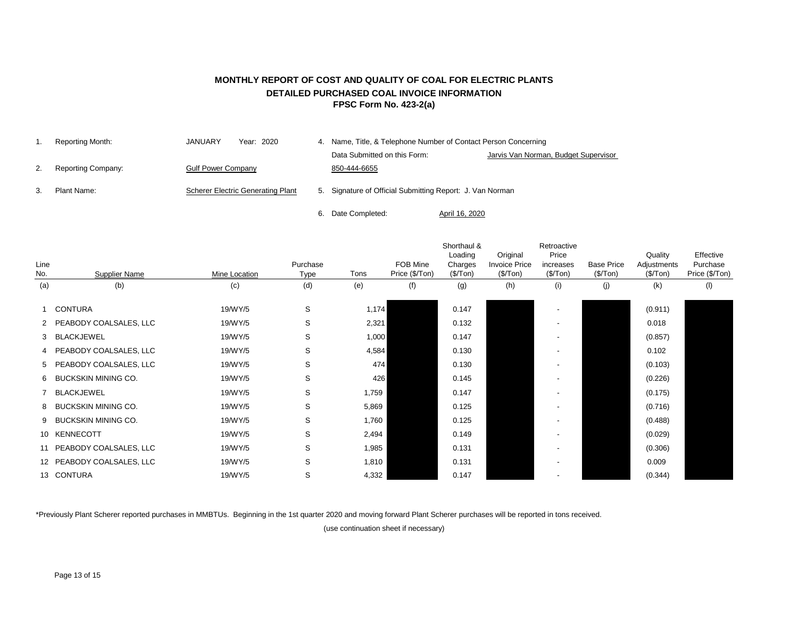## **MONTHLY REPORT OF COST AND QUALITY OF COAL FOR ELECTRIC PLANTS DETAILED PURCHASED COAL INVOICE INFORMATION FPSC Form No. 423-2(a)**

| Reporting Month:          | JANUARY<br>Year: 2020                    | 4. Name, Title, & Telephone Number of Contact Person Concerning |                                      |  |  |  |  |  |
|---------------------------|------------------------------------------|-----------------------------------------------------------------|--------------------------------------|--|--|--|--|--|
|                           |                                          | Data Submitted on this Form:                                    | Jarvis Van Norman, Budget Supervisor |  |  |  |  |  |
| <b>Reporting Company:</b> | <b>Gulf Power Company</b>                | 850-444-6655                                                    |                                      |  |  |  |  |  |
| Plant Name:               | <b>Scherer Electric Generating Plant</b> | 5. Signature of Official Submitting Report: J. Van Norman       |                                      |  |  |  |  |  |

6. Date Completed:

April 16, 2020

| Line<br>No. | <b>Supplier Name</b>      | Mine Location | Purchase<br><b>Type</b> | Tons  | FOB Mine<br>Price (\$/Ton) | Shorthaul &<br>Loading<br>Charges<br>(\$/Top) | Original<br><b>Invoice Price</b><br>(\$/Top) | Retroactive<br>Price<br>increases<br>(\$/ Ton) | <b>Base Price</b><br>(\$/Top) | Quality<br>Adjustments<br>(\$/Top) | Effective<br>Purchase<br>Price (\$/Ton) |
|-------------|---------------------------|---------------|-------------------------|-------|----------------------------|-----------------------------------------------|----------------------------------------------|------------------------------------------------|-------------------------------|------------------------------------|-----------------------------------------|
| (a)         | (b)                       | (c)           | (d)                     | (e)   | (f)                        | (g)                                           | (h)                                          | (i)                                            | (j)                           | (k)                                | (1)                                     |
|             | 1 CONTURA                 | 19/WY/5       | S                       | 1,174 |                            | 0.147                                         |                                              |                                                |                               | (0.911)                            |                                         |
|             | 2 PEABODY COALSALES, LLC  | 19/WY/5       | S                       | 2,321 |                            | 0.132                                         |                                              |                                                |                               | 0.018                              |                                         |
|             | 3 BLACKJEWEL              | 19/WY/5       | S                       | 1,000 |                            | 0.147                                         |                                              |                                                |                               | (0.857)                            |                                         |
|             | 4 PEABODY COALSALES, LLC  | 19/WY/5       | S                       | 4,584 |                            | 0.130                                         |                                              |                                                |                               | 0.102                              |                                         |
|             | 5 PEABODY COALSALES, LLC  | 19/WY/5       | S                       | 474   |                            | 0.130                                         |                                              |                                                |                               | (0.103)                            |                                         |
|             | 6 BUCKSKIN MINING CO.     | 19/WY/5       | S                       | 426   |                            | 0.145                                         |                                              |                                                |                               | (0.226)                            |                                         |
|             | 7 BLACKJEWEL              | 19/WY/5       | S                       | 1,759 |                            | 0.147                                         |                                              |                                                |                               | (0.175)                            |                                         |
|             | 8 BUCKSKIN MINING CO.     | 19/WY/5       | ${\mathsf S}$           | 5,869 |                            | 0.125                                         |                                              |                                                |                               | (0.716)                            |                                         |
|             | 9 BUCKSKIN MINING CO.     | 19/WY/5       | $\mathsf{S}$            | 1,760 |                            | 0.125                                         |                                              |                                                |                               | (0.488)                            |                                         |
|             | 10 KENNECOTT              | 19/WY/5       | S                       | 2,494 |                            | 0.149                                         |                                              |                                                |                               | (0.029)                            |                                         |
|             | 11 PEABODY COALSALES, LLC | 19/WY/5       | S                       | 1,985 |                            | 0.131                                         |                                              |                                                |                               | (0.306)                            |                                         |
|             | 12 PEABODY COALSALES, LLC | 19/WY/5       | $\mathsf{S}$            | 1,810 |                            | 0.131                                         |                                              |                                                |                               | 0.009                              |                                         |
|             | 13 CONTURA                | 19/WY/5       | S                       | 4,332 |                            | 0.147                                         |                                              |                                                |                               | (0.344)                            |                                         |

\*Previously Plant Scherer reported purchases in MMBTUs. Beginning in the 1st quarter 2020 and moving forward Plant Scherer purchases will be reported in tons received.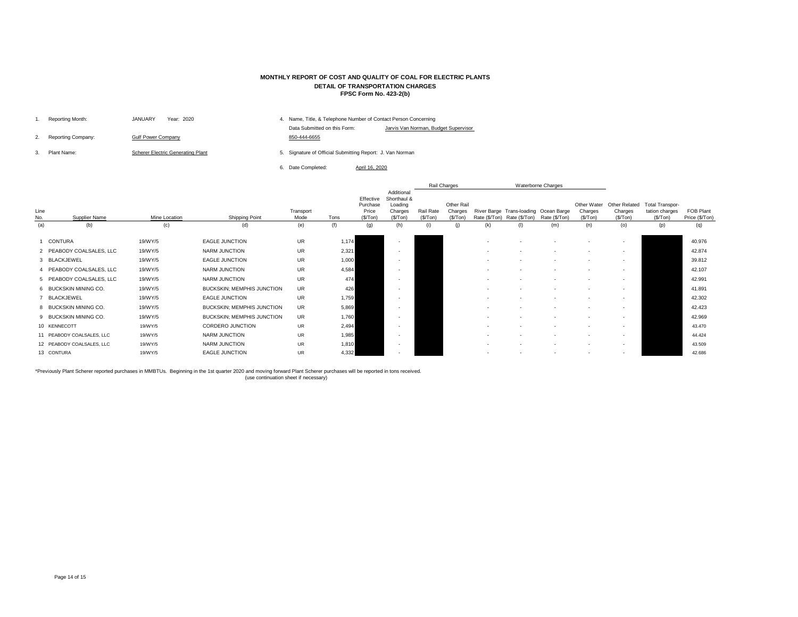|    | Reporting Month:          | Year: 2020<br><b>JANUARY</b>             | 4. |                                                           | Name, Title, & Telephone Number of Contact Person Concerning |
|----|---------------------------|------------------------------------------|----|-----------------------------------------------------------|--------------------------------------------------------------|
| 2. | <b>Reporting Company:</b> | <b>Gulf Power Company</b>                |    | Data Submitted on this Form:<br>850-444-6655              | Jarvis Van Norman, Budget S                                  |
|    | Plant Name:               | <b>Scherer Electric Generating Plant</b> |    | 5. Signature of Official Submitting Report: J. Van Norman |                                                              |
|    |                           |                                          |    | Date Completed:                                           | April 16, 2020                                               |

|             |                           |                      |                                   |                   |       |                                            |                                                              |                        | Rail Charges                              |               |               | Waterborne Charges                                     |                                    |                                              |                                                       |                             |
|-------------|---------------------------|----------------------|-----------------------------------|-------------------|-------|--------------------------------------------|--------------------------------------------------------------|------------------------|-------------------------------------------|---------------|---------------|--------------------------------------------------------|------------------------------------|----------------------------------------------|-------------------------------------------------------|-----------------------------|
| Line<br>No. | <b>Supplier Name</b>      | <b>Mine Location</b> | <b>Shipping Point</b>             | Transport<br>Mode | Tons  | Effective<br>Purchase<br>Price<br>(\$/Top) | Additional<br>Shorthaul &<br>Loading<br>Charges<br>(\$/ Ton) | Rail Rate<br>(\$/ Ton) | <b>Other Rail</b><br>Charges<br>(\$/ Ton) | Rate (\$/Ton) | Rate (\$/Ton) | River Barge Trans-loading Ocean Barge<br>Rate (\$/Ton) | Other Water<br>Charges<br>(\$/Top) | <b>Other Related</b><br>Charges<br>(\$/ Ton) | <b>Total Transpor-</b><br>tation charges<br>(\$/ Ton) | FOB Plant<br>Price (\$/Ton) |
| (a)         | (b)                       | (c)                  | (d)                               | (e)               | (f)   | (g)                                        | (h)                                                          | (i)                    | (j)                                       | (k)           | (1)           | (m)                                                    | (n)                                | (o)                                          | (p)                                                   | (q)                         |
|             | CONTURA                   | 19/WY/5              | <b>EAGLE JUNCTION</b>             | <b>UR</b>         | 1,174 |                                            |                                                              |                        |                                           |               |               |                                                        | $\sim$                             | $\sim$                                       |                                                       | 40.976                      |
|             | 2 PEABODY COALSALES, LLC  | 19/WY/5              | NARM JUNCTION                     | <b>UR</b>         | 2,321 |                                            |                                                              |                        |                                           |               |               |                                                        | $\sim$                             | $\overline{\phantom{a}}$                     |                                                       | 42.874                      |
|             | 3 BLACKJEWEL              | 19/WY/5              | EAGLE JUNCTION                    | <b>UR</b>         | 1,000 |                                            |                                                              |                        |                                           |               |               |                                                        | $\sim$                             | $\overline{\phantom{a}}$                     |                                                       | 39.812                      |
|             | 4 PEABODY COALSALES, LLC  | 19/WY/5              | NARM JUNCTION                     | <b>UR</b>         | 4,584 |                                            |                                                              |                        |                                           |               |               |                                                        |                                    | $\sim$                                       |                                                       | 42.107                      |
|             | 5 PEABODY COALSALES, LLC  | 19/WY/5              | NARM JUNCTION                     | <b>UR</b>         | 474   |                                            |                                                              |                        |                                           |               |               |                                                        |                                    | $\overline{\phantom{a}}$                     |                                                       | 42.991                      |
|             | 6 BUCKSKIN MINING CO.     | 19/WY/5              | <b>BUCKSKIN; MEMPHIS JUNCTION</b> | <b>UR</b>         | 426   |                                            |                                                              |                        |                                           |               |               |                                                        |                                    | $\sim$                                       |                                                       | 41.891                      |
|             | 7 BLACKJEWEL              | 19/WY/5              | <b>EAGLE JUNCTION</b>             | UR                | 1,759 |                                            |                                                              |                        |                                           |               |               |                                                        | $\sim$                             | $\sim$                                       |                                                       | 42.302                      |
|             | 8 BUCKSKIN MINING CO.     | 19/WY/5              | <b>BUCKSKIN; MEMPHIS JUNCTION</b> | <b>UR</b>         | 5,869 |                                            |                                                              |                        |                                           |               |               |                                                        | $\sim$                             | $\sim$                                       |                                                       | 42.423                      |
|             | 9 BUCKSKIN MINING CO.     | 19/WY/5              | <b>BUCKSKIN; MEMPHIS JUNCTION</b> | UR                | 1,760 |                                            |                                                              |                        |                                           |               |               |                                                        | $\sim$                             | $\overline{\phantom{a}}$                     |                                                       | 42.969                      |
|             | 10 KENNECOTT              | 19/WY/5              | <b>CORDERO JUNCTION</b>           | <b>UR</b>         | 2,494 |                                            |                                                              |                        |                                           |               |               |                                                        | $\sim$                             | $\sim$                                       |                                                       | 43.470                      |
|             | 11 PEABODY COALSALES, LLC | 19/WY/5              | NARM JUNCTION                     | <b>UR</b>         | 1,985 |                                            |                                                              |                        |                                           |               |               |                                                        | $\sim$                             | $\sim$                                       |                                                       | 44.424                      |
|             | 12 PEABODY COALSALES, LLC | 19/WY/5              | NARM JUNCTION                     | <b>UR</b>         | 1,810 |                                            |                                                              |                        |                                           |               |               |                                                        |                                    | $\overline{\phantom{a}}$                     |                                                       | 43.509                      |
|             | 13 CONTURA                | 19/WY/5              | <b>EAGLE JUNCTION</b>             | UR.               | 4,332 |                                            |                                                              |                        |                                           |               |               |                                                        | $\sim$                             | $\overline{\phantom{a}}$                     |                                                       | 42.686                      |

\*Previously Plant Scherer reported purchases in MMBTUs. Beginning in the 1st quarter 2020 and moving forward Plant Scherer purchases will be reported in tons received. (use continuation sheet if necessary)

## **MONTHLY REPORT OF COST AND QUALITY OF COAL FOR ELECTRIC PLANTS DETAIL OF TRANSPORTATION CHARGES FPSC Form No. 423-2(b)**

#### Supervisor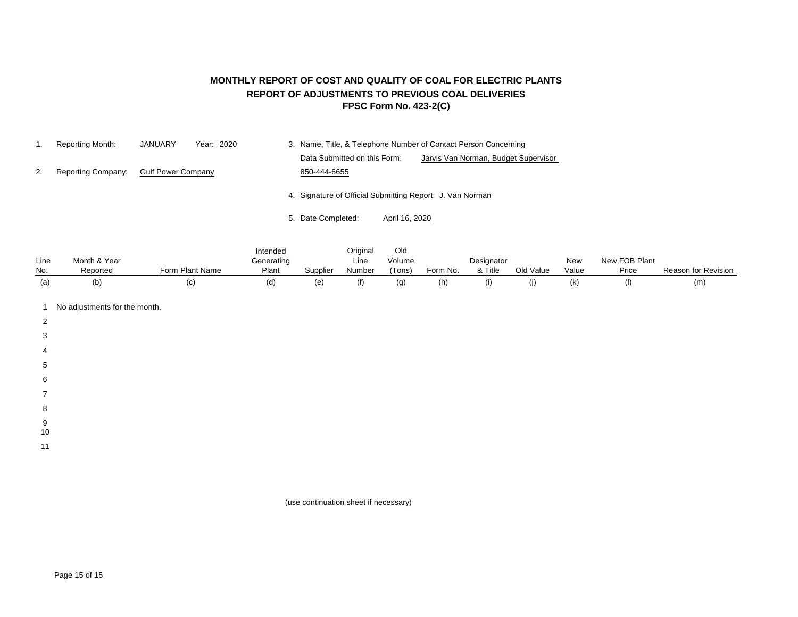## **MONTHLY REPORT OF COST AND QUALITY OF COAL FOR ELECTRIC PLANTS REPORT OF ADJUSTMENTS TO PREVIOUS COAL DELIVERIES FPSC Form No. 423-2(C)**

|    | Reporting Month:   | <b>JANUARY</b>            | Year: 2020 |                                                           |                | 3. Name, Title, & Telephone Number of Contact Person Concerning |
|----|--------------------|---------------------------|------------|-----------------------------------------------------------|----------------|-----------------------------------------------------------------|
|    |                    |                           |            | Data Submitted on this Form:                              |                | Jarvis Van Norman, Budget Supervisor                            |
| 2. | Reporting Company: | <b>Gulf Power Company</b> |            | 850-444-6655                                              |                |                                                                 |
|    |                    |                           |            | 4. Signature of Official Submitting Report: J. Van Norman |                |                                                                 |
|    |                    |                           |            | 5. Date Completed:                                        | April 16, 2020 |                                                                 |

|      |              |                 | Intended   |          | Original | Old    |          |            |           |       |               |                     |
|------|--------------|-----------------|------------|----------|----------|--------|----------|------------|-----------|-------|---------------|---------------------|
| Line | Month & Year |                 | Generating |          | Line     | Volume |          | Designator |           | New   | New FOB Plant |                     |
| No.  | Reported     | Form Plant Name | Plant      | Supplier | Number   | 'Tons) | Form No. | Title      | Old Value | Value | Price         | Reason for Revision |
| (a,  | (b           | (c              | (d)        | (e)      | (f)      |        | (n)      | (1)        |           | (k)   |               | (m)                 |

- 1 No adjustments for the month.
- 2
- 
- 3
- 4
- 5
- 
- 6
- 7
- 8
- 9
- 10
- 11

(use continuation sheet if necessary)

Page 15 of 15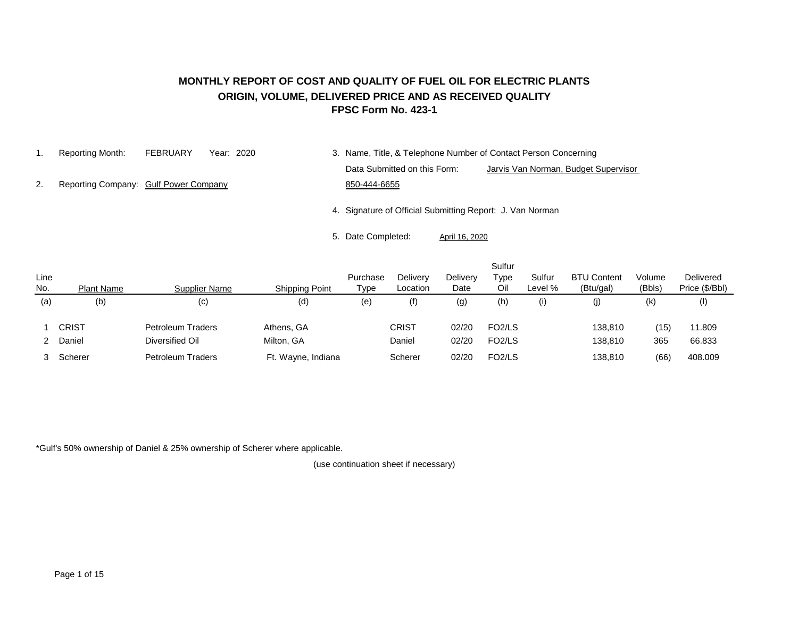#### **MONTHLY REPORT OF COST AND QUALITY OF FUEL OIL FOR ELECTRIC PLANTS ORIGIN, VOLUME, DELIVERED PRICE AND AS RECEIVED QUALITY FPSC Form No. 423-1**

- 
- 1. Reporting Month: FEBRUARY Year: 2020 3. Name, Title, & Telephone Number of Contact Person Concerning Data Submitted on this Form: Jarvis Van Norman, Budget Supervisor
- 2. Reporting Company: Gulf Power Company 650-444-6655

4. Signature of Official Submitting Report: J. Van Norman

5. Date Completed: April 16, 2020

| Line<br>No. | <b>Plant Name</b> | <b>Supplier Name</b>                        | <b>Shipping Point</b>            | Purchase<br>Type | <b>Delivery</b><br>Location | <b>Delivery</b><br>Date | Sulfur<br>⊤уре<br>Oil                                  | Sulfur<br>Level % | <b>BTU Content</b><br>(Btu/gal) | Volume<br>(Bbls) | Delivered<br>Price (\$/Bbl) |
|-------------|-------------------|---------------------------------------------|----------------------------------|------------------|-----------------------------|-------------------------|--------------------------------------------------------|-------------------|---------------------------------|------------------|-----------------------------|
| (a)         | (b)               | (c)                                         | (d)                              | (e)              | (f)                         | (g)                     | (h)                                                    | (i)               | (j)                             | $(\mathsf{k})$   | $($ l $)$                   |
|             | <b>CRIST</b>      | Petroleum Traders                           | Athens, GA                       |                  | <b>CRIST</b><br>Daniel      | 02/20<br>02/20          | FO <sub>2</sub> /LS<br>FO <sub>2</sub> /L <sub>S</sub> |                   | 138,810                         | (15)             | 11.809                      |
| 2           | Daniel<br>Scherer | Diversified Oil<br><b>Petroleum Traders</b> | Milton, GA<br>Ft. Wayne, Indiana |                  | Scherer                     | 02/20                   | FO <sub>2</sub> /L <sub>S</sub>                        |                   | 138,810<br>138,810              | 365<br>(66)      | 66.833<br>408.009           |

\*Gulf's 50% ownership of Daniel & 25% ownership of Scherer where applicable.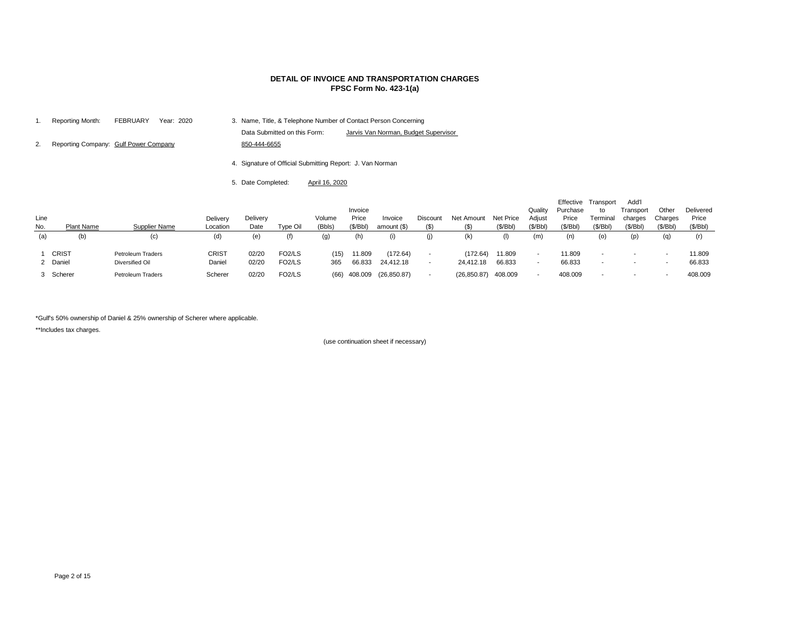|    | Reporting Month:                      | <b>FEBRUARY</b> | Year: 2020 | 3. Name, Title, & Telephone Number of Contact Person Concerning |                                      |
|----|---------------------------------------|-----------------|------------|-----------------------------------------------------------------|--------------------------------------|
|    |                                       |                 |            | Data Submitted on this Form:                                    | Jarvis Van Norman, Budget Supervisor |
| 2. | Reporting Company: Gulf Power Company |                 |            | 850-444-6655                                                    |                                      |
|    |                                       |                 |            | 4. Signature of Official Submitting Report: J. Van Norman       |                                      |

5. Date Completed: April 16, 2020

| Line<br>No. | Plant Name               | Supplier Name                               | <b>Delivery</b><br>Location | <b>Delivery</b><br>Date | Type Oil                                   | Volume<br>(Bbls) | Invoice<br>Price<br>(\$/Bbl) | Invoice<br>amount $($)$      | <b>Discount</b><br>$($ \$) | Net Amount            | Net Price<br>(\$/Bbl) | Quality<br>Adjust<br>(\$/Bbl) | Purchase<br>Price<br>(\$/Bbl) | Effective Transport<br>to<br>Terminal<br>(\$/Bbl)    | Add'l<br>Transport<br>charges<br>(\$/Bbl) | Other<br>Charges<br>(\$/Bbl) | <b>Delivered</b><br>Price<br>(\$/Bbl) |
|-------------|--------------------------|---------------------------------------------|-----------------------------|-------------------------|--------------------------------------------|------------------|------------------------------|------------------------------|----------------------------|-----------------------|-----------------------|-------------------------------|-------------------------------|------------------------------------------------------|-------------------------------------------|------------------------------|---------------------------------------|
| (a)         | (b)                      | (c)                                         | (d)                         | (e)                     | (f)                                        | (g)              | (h)                          | (1)                          | (j)                        | (k)                   |                       | (m)                           | (n)                           | (0)                                                  | (p)                                       | (q)                          | (r)                                   |
|             | <b>CRIST</b><br>2 Daniel | <b>Petroleum Traders</b><br>Diversified Oil | CRIST<br>Daniel             | 02/20<br>02/20          | FO <sub>2</sub> /LS<br>FO <sub>2</sub> /LS | (15)<br>365      | 11.809<br>66.833             | (172.64)<br>24,412.18        | $\blacksquare$             | (172.64)<br>24,412.18 | 11.809<br>66.833      | $\overline{\phantom{a}}$      | 11.809<br>66.833              | $\overline{\phantom{0}}$<br>$\overline{\phantom{a}}$ | $\overline{\phantom{a}}$<br>$\sim$        |                              | 11.809<br>66.833                      |
|             | 3 Scherer                | <b>Petroleum Traders</b>                    | Scherer                     | 02/20                   | FO <sub>2</sub> /LS                        |                  |                              | $(66)$ 408.009 $(26,850.87)$ |                            | (26, 850.87)          | 408.009               | -                             | 408.009                       | $\overline{\phantom{0}}$                             | $\overline{\phantom{0}}$                  |                              | 408.009                               |

\*Gulf's 50% ownership of Daniel & 25% ownership of Scherer where applicable.

\*\*Includes tax charges.

#### **DETAIL OF INVOICE AND TRANSPORTATION CHARGES FPSC Form No. 423-1(a)**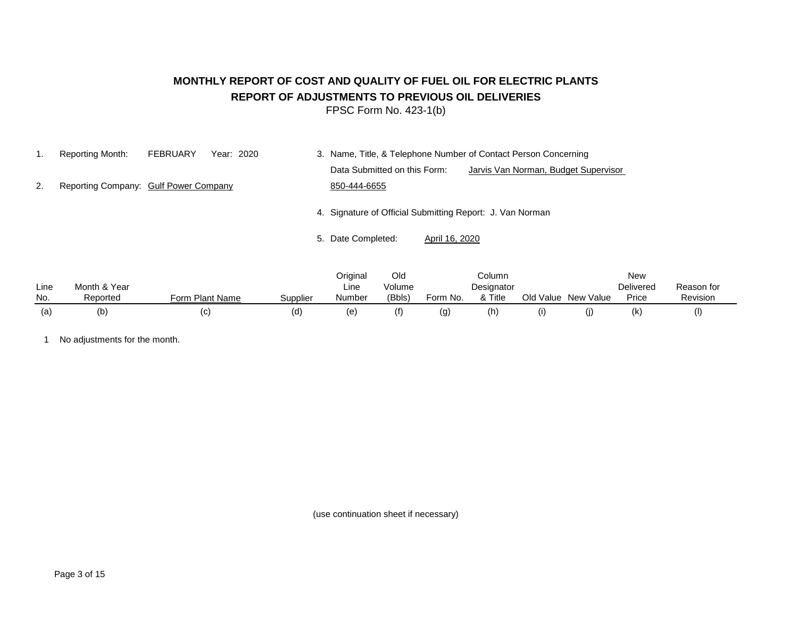# **MONTHLY REPORT OF COST AND QUALITY OF FUEL OIL FOR ELECTRIC PLANTS REPORT OF ADJUSTMENTS TO PREVIOUS OIL DELIVERIES**

FPSC Form No. 423-1(b)

1. Reporting Month: FEBRUARY Year: 2020 3. Name, Title, & Telephone Number of Contact Person Concerning Data Submitted on this Form: Jarvis Van Norman, Budget Supervisor 2. Reporting Company: Gulf Power Company 650-444-6655

4. Signature of Official Submitting Report: J. Van Norman

5. Date Completed: April 16, 2020

|      |              |                 |          | Original | Old    |          | Column     |           |           | New              |            |
|------|--------------|-----------------|----------|----------|--------|----------|------------|-----------|-----------|------------------|------------|
| Line | Month & Year |                 |          | Line     | Volume |          | Designator |           |           | <b>Delivered</b> | Reason for |
| No.  | Reported     | Form Plant Name | Supplier | Number   | (Bbls) | Form No. | & Title    | Old Value | New Value | Price            | Revision   |
| (a)  | (b)          | (C)             | (d)      | (e       |        | (g)      | (h         |           | w         | (k)              |            |

1 No adjustments for the month.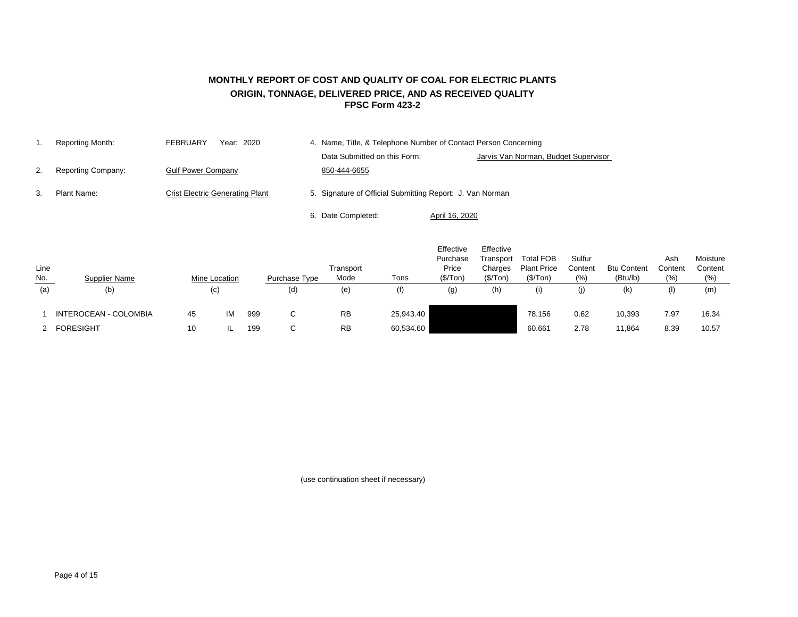## **FPSC Form 423-2 MONTHLY REPORT OF COST AND QUALITY OF COAL FOR ELECTRIC PLANTS ORIGIN, TONNAGE, DELIVERED PRICE, AND AS RECEIVED QUALITY**

|    | Reporting Month:   | <b>FEBRUARY</b><br>Year: 2020          | 4. Name, Title, & Telephone Number of Contact Person Concerning |                                      |
|----|--------------------|----------------------------------------|-----------------------------------------------------------------|--------------------------------------|
|    |                    |                                        | Data Submitted on this Form:                                    | Jarvis Van Norman, Budget Supervisor |
| 2. | Reporting Company: | <b>Gulf Power Company</b>              | 850-444-6655                                                    |                                      |
| 3. | Plant Name:        | <b>Crist Electric Generating Plant</b> | 5. Signature of Official Submitting Report: J. Van Norman       |                                      |
|    |                    |                                        | 6. Date Completed:                                              | April 16, 2020                       |

| Line<br>$\underline{\mathsf{No}}$ . | <b>Supplier Name</b>  | <b>Mine Location</b> |    |     | Purchase Type | Transport<br>Mode | Tons      | Effective<br>Purchase<br>Price<br>(\$/ Ton) | Effective<br>Transport<br>Charges<br>(\$/Top) | <b>Total FOB</b><br><b>Plant Price</b><br>(\$/Top) | Sulfur<br>Content<br>(% ) | <b>Btu Content</b><br>(Btu/lb) | Ash<br>Content<br>(% ) | Moisture<br>Content<br>(%) |
|-------------------------------------|-----------------------|----------------------|----|-----|---------------|-------------------|-----------|---------------------------------------------|-----------------------------------------------|----------------------------------------------------|---------------------------|--------------------------------|------------------------|----------------------------|
| (a)                                 | (b)                   | (c)                  |    |     | (d)           | (e)               | (f)       | (g)                                         | (h)                                           | (i)                                                | (j)                       | (k)                            | (1)                    | (m)                        |
|                                     | INTEROCEAN - COLOMBIA | 45                   | IM | 999 | $\sim$        | <b>RB</b>         | 25,943.40 |                                             |                                               | 78.156                                             | 0.62                      | 10,393                         | 7.97                   | 16.34                      |
|                                     | <b>FORESIGHT</b>      | 10                   |    | 199 | $\sim$        | <b>RB</b>         | 60,534.60 |                                             |                                               | 60.661                                             | 2.78                      | 11,864                         | 8.39                   | 10.57                      |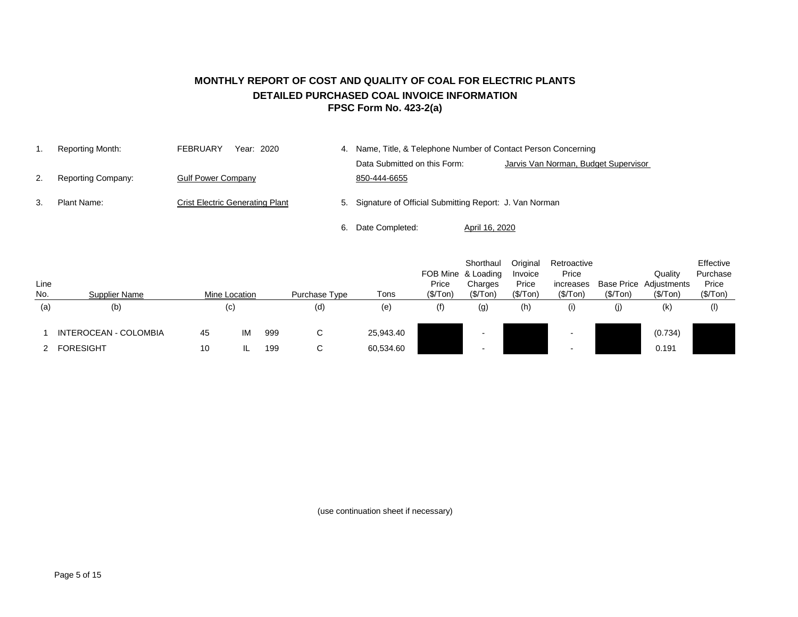### **MONTHLY REPORT OF COST AND QUALITY OF COAL FOR ELECTRIC PLANTS DETAILED PURCHASED COAL INVOICE INFORMATION FPSC Form No. 423-2(a)**

1. Reporting Month: FEBRUARY Year: 2020 4. Name, Title, & Telephone Number of Contact Person Concerning Data Submitted on this Form: Jarvis Van Norman, Budget Supervisor 2. Reporting Company: Gulf Power Company 650-444-6655 3. Plant Name: Crist Electric Generating Plant 5. Signature of Official Submitting Report: J. Van Norman 6. Date Completed: April 16, 2020

| Line<br>No. | <b>Supplier Name</b>         |    | Mine Location |     | Purchase Type | Tons      | Price<br>(\$/Top) | Shorthaul<br>FOB Mine & Loading<br>Charges<br>(\$/Top) | Original<br>Invoice<br>Price<br>(\$/Top) | Retroactive<br>Price<br>increases<br>(\$/Top) | (\$/Top) | Quality<br><b>Base Price Adjustments</b><br>(\$/Top) | Effective<br>Purchase<br>Price<br>(\$/Top) |
|-------------|------------------------------|----|---------------|-----|---------------|-----------|-------------------|--------------------------------------------------------|------------------------------------------|-----------------------------------------------|----------|------------------------------------------------------|--------------------------------------------|
| (a)         | (b)                          |    | (c)           |     | (d)           | (e)       | (f)               | (g)                                                    | (h)                                      | (i)                                           | (j)      | (k)                                                  | $($ l $)$                                  |
|             | <b>INTEROCEAN - COLOMBIA</b> | 45 | IM            | 999 | С             | 25,943.40 |                   |                                                        |                                          |                                               |          | (0.734)                                              |                                            |
|             | <b>FORESIGHT</b>             | 10 |               | 199 | С             | 60,534.60 |                   |                                                        |                                          |                                               |          | 0.191                                                |                                            |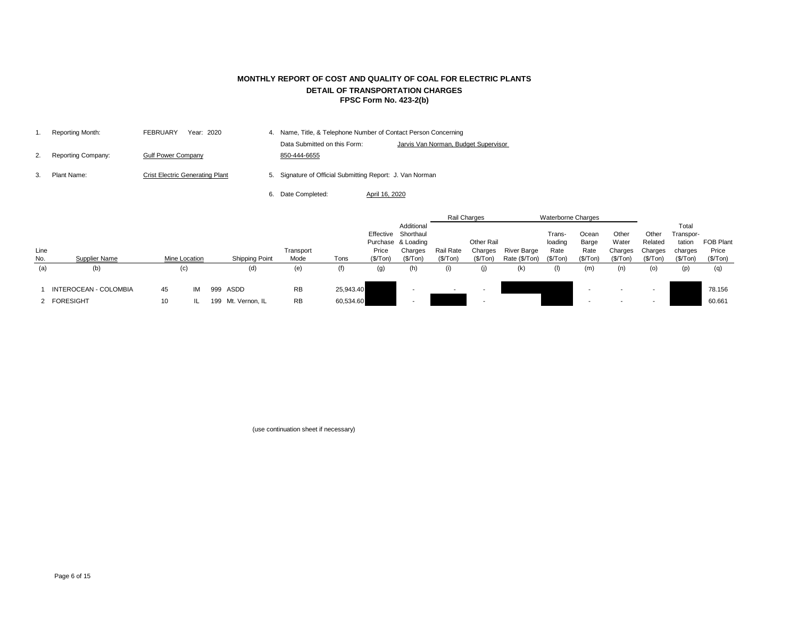| Reporting Month:   | Year: 2020<br><b>FEBRUARY</b>          | 4. Name, Title, & Telephone Number of Contact Person Concerning |                                      |
|--------------------|----------------------------------------|-----------------------------------------------------------------|--------------------------------------|
|                    |                                        | Data Submitted on this Form:                                    | Jarvis Van Norman, Budget Supervisor |
| Reporting Company: | <b>Gulf Power Company</b>              | 850-444-6655                                                    |                                      |
| Plant Name:        | <b>Crist Electric Generating Plant</b> | 5. Signature of Official Submitting Report: J. Van Norman       |                                      |

6. Date Completed: April 16, 2020

|      |                              |    |               |                       |           |           |                   |                     |                  | Rail Charges             |               | <b>Waterborne Charges</b> |           |          |          |           |                  |
|------|------------------------------|----|---------------|-----------------------|-----------|-----------|-------------------|---------------------|------------------|--------------------------|---------------|---------------------------|-----------|----------|----------|-----------|------------------|
|      |                              |    |               |                       |           |           |                   | Additional          |                  |                          |               |                           |           |          |          | Total     |                  |
|      |                              |    |               |                       |           |           |                   | Effective Shorthaul |                  |                          |               | Trans-                    | Ocean     | Other    | Other    | Transpor- |                  |
|      |                              |    |               |                       |           |           |                   | Purchase & Loading  |                  | Other Rail               |               | loading                   | Barge     | Water    | Related  | tation    | <b>FOB Plant</b> |
| Line |                              |    |               |                       | Transport |           | Price             | Charges             | <b>Rail Rate</b> | Charges                  | River Barge   | Rate                      | Rate      | Charges  | Charges  | charges   | Price            |
| No.  | Supplier Name                |    | Mine Location | <b>Shipping Point</b> | Mode      | Tons      | (\$/Top)          | (\$/Top)            | (\$/Top)         | (\$/Ton)                 | Rate (\$/Ton) | (\$/Ton)                  | (\$/ Ton) | (\$/Ton) | (\$/Top) | (\$/ Ton) | (\$/Top)         |
| (a)  | (b)                          |    | (c)           | (d)                   | (e)       | (f)       | $\left( 9\right)$ | (h)                 | (i)              | (j)                      | (k)           | (I)                       | (m)       | (n)      | (o)      | (p)       | (q)              |
|      | <b>INTEROCEAN - COLOMBIA</b> | 45 | IM            | 999 ASDD              | <b>RB</b> | 25,943.40 |                   |                     | $\sim$           | $\sim$                   |               |                           |           |          |          |           | 78.156           |
|      |                              |    |               |                       |           |           |                   |                     |                  |                          |               |                           |           |          |          |           |                  |
|      | 2 FORESIGHT                  | 10 |               | 199 Mt. Vernon, IL    | <b>RB</b> | 60,534.60 |                   |                     |                  | $\overline{\phantom{a}}$ |               |                           |           |          | -        |           | 60.661           |

(use continuation sheet if necessary)

## **MONTHLY REPORT OF COST AND QUALITY OF COAL FOR ELECTRIC PLANTS DETAIL OF TRANSPORTATION CHARGES FPSC Form No. 423-2(b)**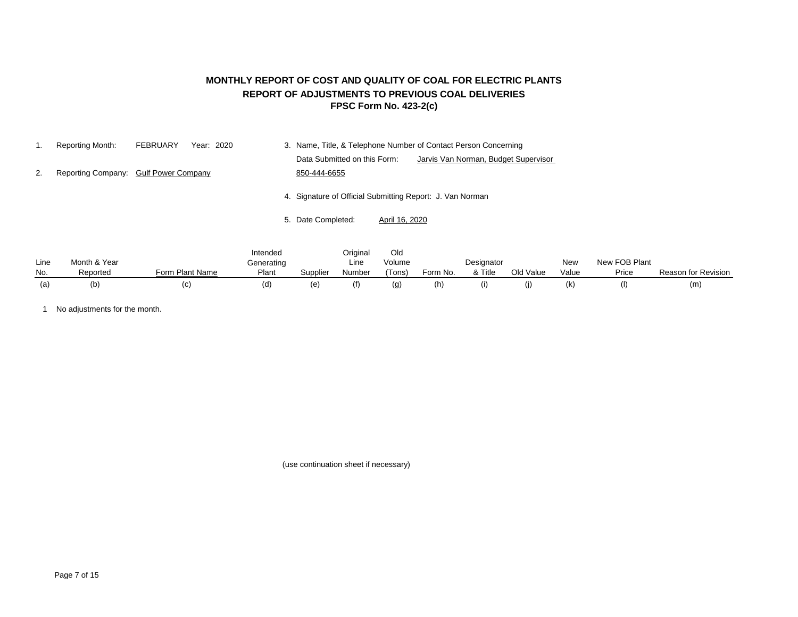## **FPSC Form No. 423-2(c) MONTHLY REPORT OF COST AND QUALITY OF COAL FOR ELECTRIC PLANTS REPORT OF ADJUSTMENTS TO PREVIOUS COAL DELIVERIES**

|    | Reporting Month: | FEBRUARY<br>Year: 2020                | 3. Name, Title, & Telephone Number of Contact Person Concerning      |
|----|------------------|---------------------------------------|----------------------------------------------------------------------|
|    |                  |                                       | Data Submitted on this Form:<br>Jarvis Van Norman, Budget Supervisor |
| 2. |                  | Reporting Company: Gulf Power Company | 850-444-6655                                                         |
|    |                  |                                       | 4. Signature of Official Submitting Report: J. Van Norman            |
|    |                  |                                       | 5. Date Completed:<br><u>April 16, 2020</u>                          |

|      |              |                 | Intended   |          | Original | Old    |          |              |           |       |               |                            |
|------|--------------|-----------------|------------|----------|----------|--------|----------|--------------|-----------|-------|---------------|----------------------------|
| Line | Month & Year |                 | Generating |          | Line     | Volume |          | Designator   |           | New   | New FOB Plant |                            |
| No.  | Reported     | Form Plant Name | Plant      | Supplier | Number   | (Tons) | Form No. | & Title      | Old Value | Value | Price         | <b>Reason for Revision</b> |
|      | (b)          | (C)             |            | (e       |          | (g     | (h)      | $\mathbf{u}$ | O)        | (k)   | (             | (m)                        |

1 No adjustments for the month.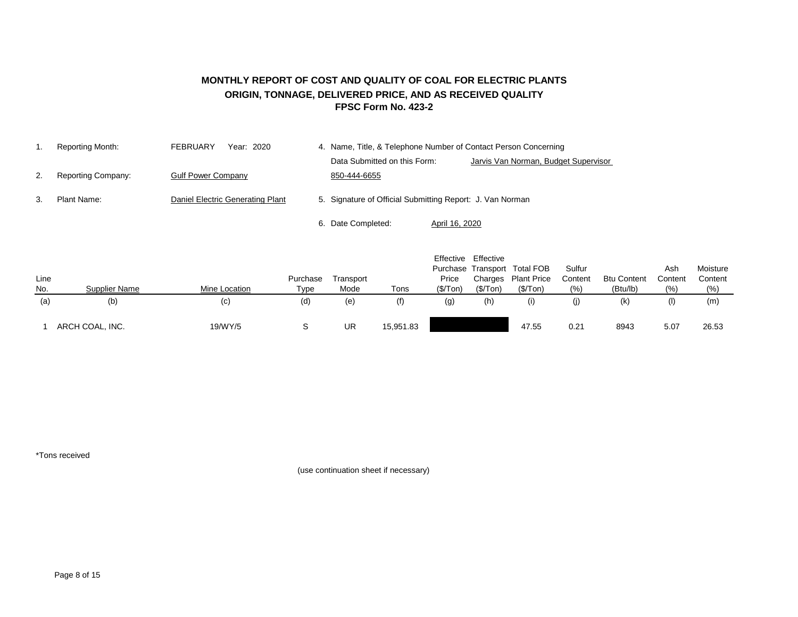#### **MONTHLY REPORT OF COST AND QUALITY OF COAL FOR ELECTRIC PLANTS ORIGIN, TONNAGE, DELIVERED PRICE, AND AS RECEIVED QUALITY FPSC Form No. 423-2**

|    | Reporting Month:          | FEBRUARY<br>Year: 2020           | 4. Name, Title, & Telephone Number of Contact Person Concerning |                                      |  |  |  |
|----|---------------------------|----------------------------------|-----------------------------------------------------------------|--------------------------------------|--|--|--|
|    |                           |                                  | Data Submitted on this Form:                                    | Jarvis Van Norman, Budget Supervisor |  |  |  |
| 2. | <b>Reporting Company:</b> | <b>Gulf Power Company</b>        | 850-444-6655                                                    |                                      |  |  |  |
| 3. | Plant Name:               | Daniel Electric Generating Plant | 5. Signature of Official Submitting Report: J. Van Norman       |                                      |  |  |  |
|    |                           |                                  | Date Completed:<br>April 16, 2020                               |                                      |  |  |  |

|      |                 |               |             |           |           |          | Effective Effective |                              |         |                    |         |          |
|------|-----------------|---------------|-------------|-----------|-----------|----------|---------------------|------------------------------|---------|--------------------|---------|----------|
|      |                 |               |             |           |           |          |                     | Purchase Transport Total FOB | Sulfur  |                    | Ash     | Moisture |
| Line |                 |               | Purchase    | Transport |           | Price    |                     | Charges Plant Price          | Content | <b>Btu Content</b> | Content | Content  |
| No.  | Supplier Name   | Mine Location | <b>Type</b> | Mode      | Tons      | (\$/Ton) | (\$/ Ton)           | (\$/ Ton)                    | (%)     | (Btu/lb)           | (%)     | (% )     |
| (a)  | (b)             | (c)           | (d)         | (e)       |           | (g)      | (h)                 |                              | (j)     | (k)                | (1)     | (m)      |
|      | ARCH COAL, INC. | 19/WY/5       |             | UR        | 15,951.83 |          |                     | 47.55                        | 0.21    | 8943               | 5.07    | 26.53    |

\*Tons received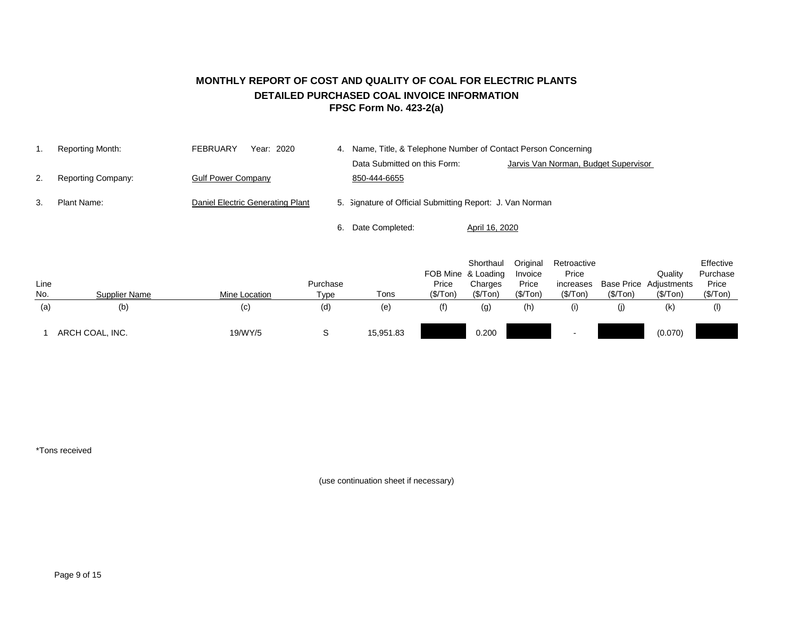## **MONTHLY REPORT OF COST AND QUALITY OF COAL FOR ELECTRIC PLANTS DETAILED PURCHASED COAL INVOICE INFORMATION FPSC Form No. 423-2(a)**

|    | Reporting Month:          | Year: 2020<br><b>FEBRUARY</b>    | 4. Name, Title, & Telephone Number of Contact Person Concerning |                |                                      |  |
|----|---------------------------|----------------------------------|-----------------------------------------------------------------|----------------|--------------------------------------|--|
|    |                           |                                  | Data Submitted on this Form:                                    |                | Jarvis Van Norman, Budget Supervisor |  |
| 2. | <b>Reporting Company:</b> | <b>Gulf Power Company</b>        | 850-444-6655                                                    |                |                                      |  |
| 3. | Plant Name:               | Daniel Electric Generating Plant | 5. Signature of Official Submitting Report: J. Van Norman       |                |                                      |  |
|    |                           |                                  | Date Completed:                                                 | April 16, 2020 |                                      |  |

| Line<br>No. | Supplier Name   | Mine Location | Purchase<br>Type | Tons      | FOB Mine & Loading<br>Price<br>(\$/Top) | Shorthaul<br>Charges<br>(\$/Top) | Original<br>Invoice<br>Price<br>(\$/Top) | Retroactive<br>Price<br>increases<br>(\$/ Ton) | (\$/Top) | Quality<br><b>Base Price Adjustments</b><br>(\$/Top) | Effective<br>Purchase<br>Price<br>(\$/Top) |
|-------------|-----------------|---------------|------------------|-----------|-----------------------------------------|----------------------------------|------------------------------------------|------------------------------------------------|----------|------------------------------------------------------|--------------------------------------------|
| (a)         | (b)             | (c)           | (d)              | (e)       | (f)                                     | (g)                              | (h)                                      | (i)                                            | (j)      | (k)                                                  | (1)                                        |
|             | ARCH COAL, INC. | 19/WY/5       |                  | 15,951.83 |                                         | 0.200                            |                                          |                                                |          | (0.070)                                              |                                            |

\*Tons received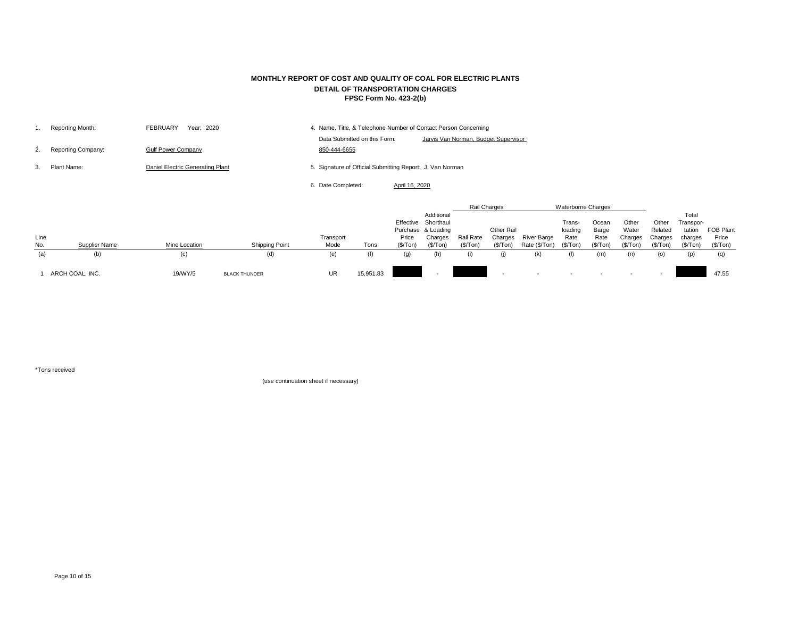|    | Reporting Month:          | <b>FEBRUARY</b><br>Year: 2020    | 4. Name, Title, & Telephone Number of Contact Person Concerning |                                                           |                |                                      |  |
|----|---------------------------|----------------------------------|-----------------------------------------------------------------|-----------------------------------------------------------|----------------|--------------------------------------|--|
|    |                           |                                  |                                                                 | Data Submitted on this Form:                              |                | Jarvis Van Norman, Budget Supervisor |  |
| 2. | <b>Reporting Company:</b> | <b>Gulf Power Company</b>        |                                                                 | 850-444-6655                                              |                |                                      |  |
|    | Plant Name:               | Daniel Electric Generating Plant |                                                                 | 5. Signature of Official Submitting Report: J. Van Norman |                |                                      |  |
|    |                           |                                  |                                                                 | 6. Date Completed:                                        | April 16, 2020 |                                      |  |

|             |                      |                      |                       |                   |           |                                                                 |                                    | Rail Charges           |                                    | <b>Waterborne Charges</b>    |                                       |                                    |                                        |                                          |                                                     |                                       |
|-------------|----------------------|----------------------|-----------------------|-------------------|-----------|-----------------------------------------------------------------|------------------------------------|------------------------|------------------------------------|------------------------------|---------------------------------------|------------------------------------|----------------------------------------|------------------------------------------|-----------------------------------------------------|---------------------------------------|
| Line<br>No. | <b>Supplier Name</b> | <b>Mine Location</b> | <b>Shipping Point</b> | Transport<br>Mode | Tons      | Effective Shorthaul<br>Purchase & Loading<br>Price<br>(\$/ Ton) | Additional<br>Charges<br>(\$/ Ton) | Rail Rate<br>(\$/ Ton) | Other Rail<br>Charges<br>(\$/ Ton) | River Barge<br>Rate (\$/Ton) | Trans-<br>loading<br>Rate<br>(\$/Top) | Ocean<br>Barge<br>Rate<br>(\$/Top) | Other<br>Water<br>Charges<br>(\$/ Ton) | Other<br>Related<br>Charges<br>(\$/ Ton) | Total<br>Transpor-<br>tation<br>charges<br>(\$/Top) | <b>FOB Plant</b><br>Price<br>(\$/Top) |
| (a)         | (b)                  | $\left( c\right)$    | (d)                   | (e)               |           | $\left( 9\right)$                                               |                                    | (i)                    |                                    | (k)                          | (1)                                   | (m)                                | (n)                                    | (0)                                      | (p)                                                 | (q)                                   |
|             | ARCH COAL, INC.      | 19/WY/5              | <b>BLACK THUNDER</b>  | <b>UR</b>         | 15,951.83 |                                                                 |                                    |                        | $\sim$                             | $\sim$                       |                                       |                                    |                                        |                                          |                                                     | 47.55                                 |

\*Tons received

## **MONTHLY REPORT OF COST AND QUALITY OF COAL FOR ELECTRIC PLANTS DETAIL OF TRANSPORTATION CHARGES FPSC Form No. 423-2(b)**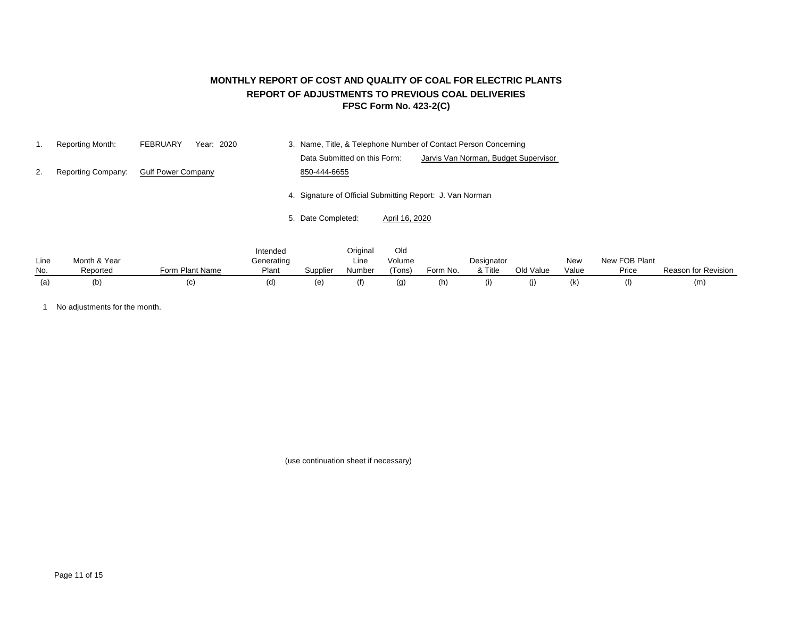## **MONTHLY REPORT OF COST AND QUALITY OF COAL FOR ELECTRIC PLANTS REPORT OF ADJUSTMENTS TO PREVIOUS COAL DELIVERIES FPSC Form No. 423-2(C)**

|    | Reporting Month:   | <b>FEBRUARY</b><br>Year: 2020 | 3. Name, Title, & Telephone Number of Contact Person Concerning      |  |
|----|--------------------|-------------------------------|----------------------------------------------------------------------|--|
|    |                    |                               | Data Submitted on this Form:<br>Jarvis Van Norman, Budget Supervisor |  |
| 2. | Reporting Company: | <b>Gulf Power Company</b>     | 850-444-6655                                                         |  |
|    |                    |                               | 4. Signature of Official Submitting Report: J. Van Norman            |  |
|    |                    |                               | 5. Date Completed:<br>April 16, 2020                                 |  |
|    |                    |                               | Original<br>Old<br>Intended                                          |  |

| Line | Month & Year |                 | <br>Generating |          | <u>- 211 1128</u><br>Line | <u>viu</u><br>Volume |          | Designator |           | <b>New</b> | New FOB Plant |                     |
|------|--------------|-----------------|----------------|----------|---------------------------|----------------------|----------|------------|-----------|------------|---------------|---------------------|
| No.  | Reported     | Form Plant Name | Plant          | Supplier | Number                    | (Tons)               | Form No. | & Title    | Old Value | Value      | Price         | Reason for Revision |
| (a)  | (b)          | וטו             |                |          |                           | (g)                  | (h)      |            |           |            | (1)           | (m                  |

1 No adjustments for the month.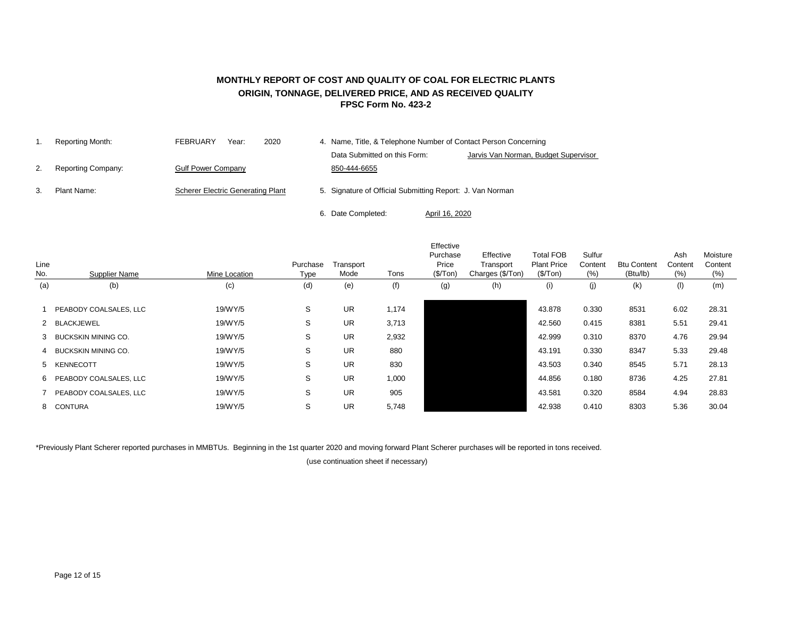### **MONTHLY REPORT OF COST AND QUALITY OF COAL FOR ELECTRIC PLANTS ORIGIN, TONNAGE, DELIVERED PRICE, AND AS RECEIVED QUALITY FPSC Form No. 423-2**

|    | Reporting Month:          | 2020<br><b>FEBRUARY</b><br>Year:         | 4. Name, Title, & Telephone Number of Contact Person Concerning |                                                           |                                      |  |  |  |
|----|---------------------------|------------------------------------------|-----------------------------------------------------------------|-----------------------------------------------------------|--------------------------------------|--|--|--|
|    |                           |                                          |                                                                 | Data Submitted on this Form:                              | Jarvis Van Norman, Budget Supervisor |  |  |  |
| 2. | <b>Reporting Company:</b> | <b>Gulf Power Company</b>                |                                                                 | 850-444-6655                                              |                                      |  |  |  |
| 3. | Plant Name:               | <b>Scherer Electric Generating Plant</b> |                                                                 | 5. Signature of Official Submitting Report: J. Van Norman |                                      |  |  |  |
|    |                           |                                          |                                                                 | 6. Date Completed:                                        | April 16, 2020                       |  |  |  |

| Line<br>No. | <b>Supplier Name</b>     | Mine Location | Purchase<br>Type | Transport<br>Mode | Tons  | Effective<br>Purchase<br>Price<br>(\$/ Ton) | Effective<br>Transport<br>Charges (\$/Ton) | <b>Total FOB</b><br><b>Plant Price</b><br>(\$/Top) | Sulfur<br>Content<br>(% ) | <b>Btu Content</b><br>(Btu/lb) | Ash<br>Content<br>(% ) | Moisture<br>Content<br>(% ) |
|-------------|--------------------------|---------------|------------------|-------------------|-------|---------------------------------------------|--------------------------------------------|----------------------------------------------------|---------------------------|--------------------------------|------------------------|-----------------------------|
| (a)         | (b)                      | (c)           | (d)              | (e)               | (f)   | (g)                                         | (h)                                        | (i)                                                | (j)                       | (k)                            | (1)                    | (m)                         |
|             | PEABODY COALSALES, LLC   | 19/WY/5       | S                | <b>UR</b>         | 1,174 |                                             |                                            | 43.878                                             | 0.330                     | 8531                           | 6.02                   | 28.31                       |
|             | 2 BLACKJEWEL             | 19/WY/5       | S                | <b>UR</b>         | 3,713 |                                             |                                            | 42.560                                             | 0.415                     | 8381                           | 5.51                   | 29.41                       |
|             | 3 BUCKSKIN MINING CO.    | 19/WY/5       | S                | <b>UR</b>         | 2,932 |                                             |                                            | 42.999                                             | 0.310                     | 8370                           | 4.76                   | 29.94                       |
|             | 4 BUCKSKIN MINING CO.    | 19/WY/5       | S                | <b>UR</b>         | 880   |                                             |                                            | 43.191                                             | 0.330                     | 8347                           | 5.33                   | 29.48                       |
|             | 5 KENNECOTT              | 19/WY/5       | S                | <b>UR</b>         | 830   |                                             |                                            | 43.503                                             | 0.340                     | 8545                           | 5.71                   | 28.13                       |
|             | 6 PEABODY COALSALES, LLC | 19/WY/5       | S                | <b>UR</b>         | 1,000 |                                             |                                            | 44.856                                             | 0.180                     | 8736                           | 4.25                   | 27.81                       |
|             | 7 PEABODY COALSALES, LLC | 19/WY/5       | S                | <b>UR</b>         | 905   |                                             |                                            | 43.581                                             | 0.320                     | 8584                           | 4.94                   | 28.83                       |
|             | 8 CONTURA                | 19/WY/5       | S                | <b>UR</b>         | 5,748 |                                             |                                            | 42.938                                             | 0.410                     | 8303                           | 5.36                   | 30.04                       |

\*Previously Plant Scherer reported purchases in MMBTUs. Beginning in the 1st quarter 2020 and moving forward Plant Scherer purchases will be reported in tons received.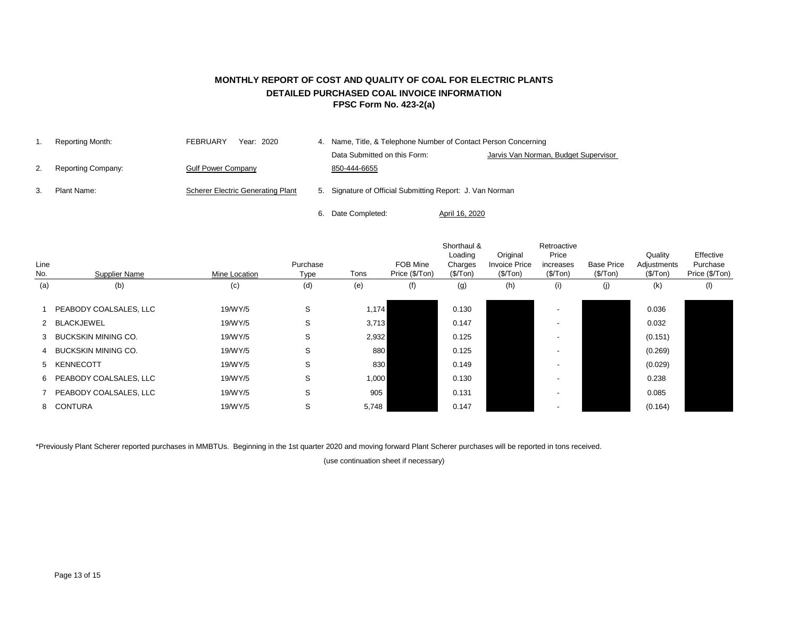## **MONTHLY REPORT OF COST AND QUALITY OF COAL FOR ELECTRIC PLANTS DETAILED PURCHASED COAL INVOICE INFORMATION FPSC Form No. 423-2(a)**

|               | Reporting Month:          | <b>FEBRUARY</b><br>Year: 2020            | 4. Name, Title, & Telephone Number of Contact Person Concerning |                                      |
|---------------|---------------------------|------------------------------------------|-----------------------------------------------------------------|--------------------------------------|
|               |                           |                                          | Data Submitted on this Form:                                    | Jarvis Van Norman, Budget Supervisor |
| <sup>2.</sup> | <b>Reporting Company:</b> | <b>Gulf Power Company</b>                | 850-444-6655                                                    |                                      |
| 3.            | Plant Name:               | <b>Scherer Electric Generating Plant</b> | 5. Signature of Official Submitting Report: J. Van Norman       |                                      |
|               |                           |                                          | 6. Date Completed:                                              | April 16, 2020                       |

| Line<br>No. | Supplier Name            | Mine Location | Purchase<br>Type | Tons  | FOB Mine<br>Price (\$/Ton) | Shorthaul &<br>Loading<br>Charges<br>(\$/Top) | Original<br><b>Invoice Price</b><br>(\$/Top) | Retroactive<br>Price<br>increases<br>(\$/Ton) | <b>Base Price</b><br>(\$/Top) | Quality<br>Adjustments<br>(\$/Top) | Effective<br>Purchase<br>Price (\$/Ton) |
|-------------|--------------------------|---------------|------------------|-------|----------------------------|-----------------------------------------------|----------------------------------------------|-----------------------------------------------|-------------------------------|------------------------------------|-----------------------------------------|
| (a)         | (b)                      | (c)           | (d)              | (e)   | (f)                        | (g)                                           | (h)                                          | (i)                                           | (j)                           | (k)                                | (1)                                     |
|             | PEABODY COALSALES, LLC   | 19/WY/5       | S                | 1,174 |                            | 0.130                                         |                                              |                                               |                               | 0.036                              |                                         |
|             | 2 BLACKJEWEL             | 19/WY/5       | S                | 3,713 |                            | 0.147                                         |                                              |                                               |                               | 0.032                              |                                         |
|             | 3 BUCKSKIN MINING CO.    | 19/WY/5       | S                | 2,932 |                            | 0.125                                         |                                              |                                               |                               | (0.151)                            |                                         |
|             | 4 BUCKSKIN MINING CO.    | 19/WY/5       | S                | 880   |                            | 0.125                                         |                                              |                                               |                               | (0.269)                            |                                         |
|             | 5 KENNECOTT              | 19/WY/5       | S                | 830   |                            | 0.149                                         |                                              |                                               |                               | (0.029)                            |                                         |
|             | 6 PEABODY COALSALES, LLC | 19/WY/5       | S                | 1,000 |                            | 0.130                                         |                                              |                                               |                               | 0.238                              |                                         |
|             | 7 PEABODY COALSALES, LLC | 19/WY/5       | S                | 905   |                            | 0.131                                         |                                              |                                               |                               | 0.085                              |                                         |
|             | 8 CONTURA                | 19/WY/5       | S                | 5,748 |                            | 0.147                                         |                                              |                                               |                               | (0.164)                            |                                         |
|             |                          |               |                  |       |                            |                                               |                                              |                                               |                               |                                    |                                         |

\*Previously Plant Scherer reported purchases in MMBTUs. Beginning in the 1st quarter 2020 and moving forward Plant Scherer purchases will be reported in tons received.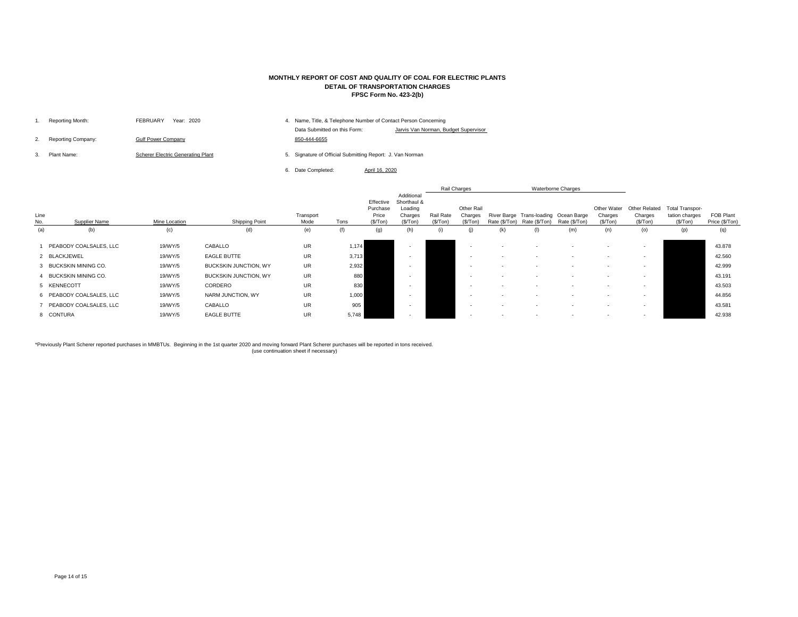| Reporting Month:          | <b>FEBRUARY</b><br>Year: 2020            | 4. | Name, Title, & Telephone Number of Contact Person Concerning |                               |
|---------------------------|------------------------------------------|----|--------------------------------------------------------------|-------------------------------|
|                           |                                          |    | Data Submitted on this Form:                                 | Jarvis Van Norman, Budget Sup |
| <b>Reporting Company:</b> | <b>Gulf Power Company</b>                |    | 850-444-6655                                                 |                               |
| Plant Name:               | <b>Scherer Electric Generating Plant</b> | 5. | Signature of Official Submitting Report: J. Van Norman       |                               |

6. Date Completed:

|             |                          |               |                              |                   |       |                                             |                                                              |                               | Rail Charges                              |               |                                                        | <b>Waterborne Charges</b> |                                     |                                              |                                                      |                             |
|-------------|--------------------------|---------------|------------------------------|-------------------|-------|---------------------------------------------|--------------------------------------------------------------|-------------------------------|-------------------------------------------|---------------|--------------------------------------------------------|---------------------------|-------------------------------------|----------------------------------------------|------------------------------------------------------|-----------------------------|
| Line<br>No. | <b>Supplier Name</b>     | Mine Location | <b>Shipping Point</b>        | Transport<br>Mode | Tons  | Effective<br>Purchase<br>Price<br>(\$/ Ton) | Additional<br>Shorthaul &<br>Loading<br>Charges<br>(\$/ Ton) | <b>Rail Rate</b><br>(\$/ Ton) | <b>Other Rail</b><br>Charges<br>(\$/ Ton) | Rate (\$/Ton) | River Barge Trans-loading Ocean Barge<br>Rate (\$/Ton) | Rate (\$/Ton)             | Other Water<br>Charges<br>(\$/ Ton) | <b>Other Related</b><br>Charges<br>(\$/ Ton) | <b>Total Transpor-</b><br>tation charges<br>(\$/Top) | FOB Plant<br>Price (\$/Ton) |
| (a)         | (b)                      | (c)           | (d)                          | (e)               | (f)   | (g)                                         | (h)                                                          |                               | (j)                                       | (k)           | (1)                                                    | (m)                       | (n)                                 | (o)                                          | (p)                                                  | (q)                         |
|             | PEABODY COALSALES, LLC   | 19/WY/5       | CABALLO                      | <b>UR</b>         | 1,174 |                                             |                                                              |                               |                                           |               |                                                        |                           |                                     |                                              |                                                      | 43.878                      |
|             | 2 BLACKJEWEL             | 19/WY/5       | <b>EAGLE BUTTE</b>           | <b>UR</b>         | 3,713 |                                             |                                                              |                               |                                           |               |                                                        |                           |                                     |                                              |                                                      | 42.560                      |
|             | 3 BUCKSKIN MINING CO.    | 19/WY/5       | <b>BUCKSKIN JUNCTION, WY</b> | <b>UR</b>         | 2,932 |                                             |                                                              |                               | $\sim$                                    |               |                                                        |                           |                                     |                                              |                                                      | 42.999                      |
|             | 4 BUCKSKIN MINING CO.    | 19/WY/5       | <b>BUCKSKIN JUNCTION, WY</b> | <b>UR</b>         | 880   |                                             |                                                              |                               |                                           |               |                                                        |                           |                                     |                                              |                                                      | 43.191                      |
|             | 5 KENNECOTT              | 19/WY/5       | CORDERO                      | <b>UR</b>         | 830   |                                             |                                                              |                               |                                           |               |                                                        |                           |                                     |                                              |                                                      | 43.503                      |
|             | 6 PEABODY COALSALES, LLC | 19/WY/5       | NARM JUNCTION, WY            | <b>UR</b>         | 1,000 |                                             |                                                              |                               | $\sim$                                    |               |                                                        |                           |                                     | $\overline{\phantom{a}}$                     |                                                      | 44.856                      |
|             | 7 PEABODY COALSALES, LLC | 19/WY/5       | CABALLO                      | <b>UR</b>         | 905   |                                             |                                                              |                               |                                           |               |                                                        |                           |                                     |                                              |                                                      | 43.581                      |
|             | 8 CONTURA                | 19/WY/5       | <b>EAGLE BUTTE</b>           | UR                | 5,748 |                                             |                                                              |                               | $\overline{\phantom{0}}$                  |               |                                                        |                           |                                     |                                              |                                                      | 42.938                      |

\*Previously Plant Scherer reported purchases in MMBTUs. Beginning in the 1st quarter 2020 and moving forward Plant Scherer purchases will be reported in tons received. (use continuation sheet if necessary)

## **MONTHLY REPORT OF COST AND QUALITY OF COAL FOR ELECTRIC PLANTS DETAIL OF TRANSPORTATION CHARGES FPSC Form No. 423-2(b)**

April 16, 2020

#### pervisor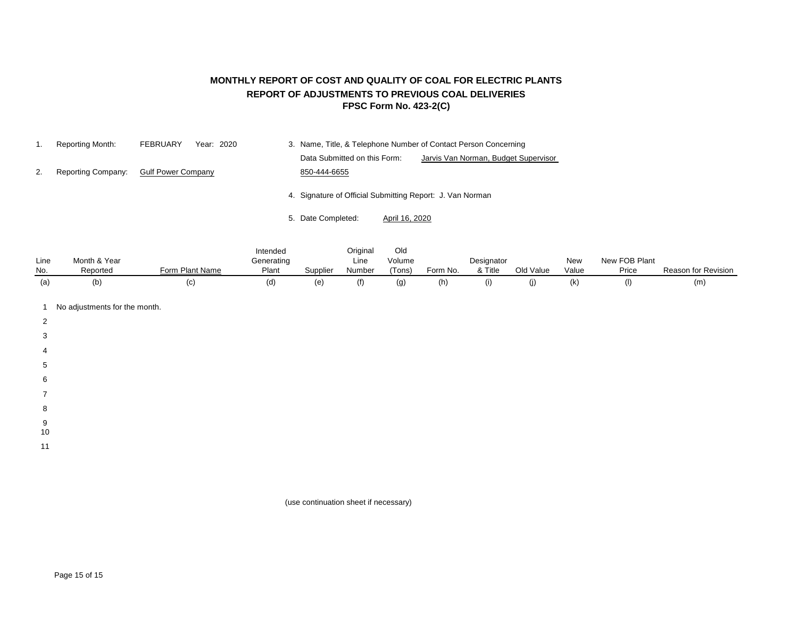## **MONTHLY REPORT OF COST AND QUALITY OF COAL FOR ELECTRIC PLANTS REPORT OF ADJUSTMENTS TO PREVIOUS COAL DELIVERIES FPSC Form No. 423-2(C)**

| Reporting Month:   | <b>FEBRUARY</b><br>Year: 2020 | 3. Name, Title, & Telephone Number of Contact Person Concerning      |
|--------------------|-------------------------------|----------------------------------------------------------------------|
|                    |                               | Data Submitted on this Form:<br>Jarvis Van Norman, Budget Supervisor |
| Reporting Company: | <b>Gulf Power Company</b>     | 850-444-6655                                                         |
|                    |                               | 4. Signature of Official Submitting Report: J. Van Norman            |
|                    |                               | 5. Date Completed:<br>April 16, 2020                                 |

|      |              |                 | Intended   |          | Original | Old    |          |            |           |       |               |                     |
|------|--------------|-----------------|------------|----------|----------|--------|----------|------------|-----------|-------|---------------|---------------------|
| Line | Month & Year |                 | Generating |          | Line     | Volume |          | Designator |           | New   | New FOB Plant |                     |
| No.  | Reported     | Form Plant Name | Plant      | Supplier | Number   | 'Tons) | Form No. | & Title    | Old Value | Value | Price         | Reason for Revision |
| (a)  | (b           | (C              | (d)        | (e)      | (f)      |        | (h)      | (1)        |           | (k)   |               | (m)                 |

- 1 No adjustments for the month.
- 2
- 
- 3
- 4
- 5
- 
- 6
- 7
- 8
- 9
- 10
- 11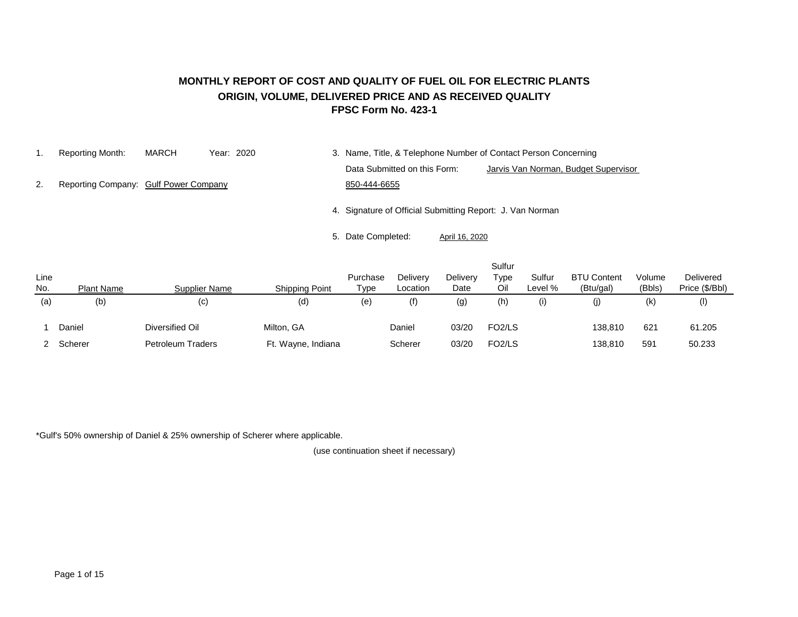#### **MONTHLY REPORT OF COST AND QUALITY OF FUEL OIL FOR ELECTRIC PLANTS ORIGIN, VOLUME, DELIVERED PRICE AND AS RECEIVED QUALITY FPSC Form No. 423-1**

1. Reporting Month: MARCH Year: 2020 3. Name, Title, & Telephone Number of Contact Person Concerning Data Submitted on this Form: Jarvis Van Norman, Budget Supervisor 2. Reporting Company: Gulf Power Company 650-444-6655

4. Signature of Official Submitting Report: J. Van Norman

5. Date Completed: April 16, 2020

| Line<br>No. | <b>Plant Name</b> | Supplier Name              | <b>Shipping Point</b> | Purchase<br>Type | Delivery<br>Location | Delivery<br>Date | Sulfur<br>Type<br>Oil | Sulfur<br>Level % | <b>BTU Content</b><br>(Btu/gal) | Volume<br>(Bbls) | Delivered<br>Price (\$/Bbl) |
|-------------|-------------------|----------------------------|-----------------------|------------------|----------------------|------------------|-----------------------|-------------------|---------------------------------|------------------|-----------------------------|
| (a)         | (b)               | $\left( \mathrm{c}\right)$ | (d)                   | (e)              | (f)                  | (g)              | (h)                   | (i)               | (j)                             | (k)              | (1)                         |
|             | Daniel            | Diversified Oil            | Milton, GA            |                  | Daniel               | 03/20            | FO <sub>2</sub> /LS   |                   | 138,810                         | 621              | 61.205                      |
|             | Scherer           | Petroleum Traders          | Ft. Wayne, Indiana    |                  | Scherer              | 03/20            | FO <sub>2</sub> /LS   |                   | 138,810                         | 591              | 50.233                      |

\*Gulf's 50% ownership of Daniel & 25% ownership of Scherer where applicable.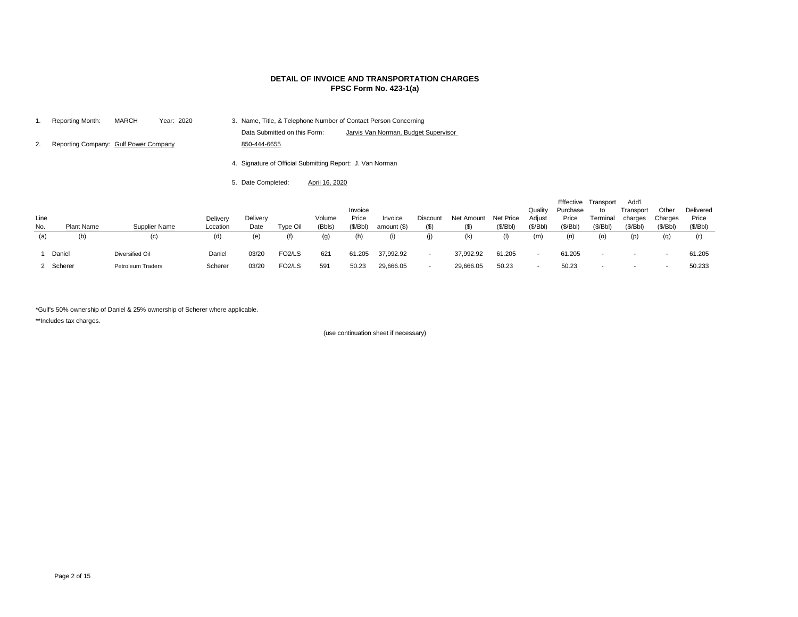|      | Reporting Month:                      | <b>MARCH</b> | Year: 2020 |          |                              |  |                                                           |                                 | 3. Name, Title, & Telephone Number of Contact Person Concerning |                                   |            |
|------|---------------------------------------|--------------|------------|----------|------------------------------|--|-----------------------------------------------------------|---------------------------------|-----------------------------------------------------------------|-----------------------------------|------------|
|      |                                       |              |            |          | Data Submitted on this Form: |  |                                                           |                                 | Jarvis Van Norman, Budget Supervisor                            |                                   |            |
| 2.   | Reporting Company: Gulf Power Company |              |            |          | 850-444-6655                 |  |                                                           |                                 |                                                                 |                                   |            |
|      |                                       |              |            |          |                              |  | 4. Signature of Official Submitting Report: J. Van Norman |                                 |                                                                 |                                   |            |
|      |                                       |              |            |          | 5. Date Completed:           |  | April 16, 2020                                            |                                 |                                                                 |                                   |            |
| Line | ____                                  |              |            | Delivery | Delivery                     |  | Volume<br>$\sim$ $\sim$                                   | Invoice<br>Price<br>$(4.1 - 1)$ | Invoice<br>$\sim$ $\sim$                                        | <b>Discount</b><br>$\overline{A}$ | Net Amount |

| Line<br>No. | <b>Plant Name</b> | <b>Supplier Name</b> | Delivery<br>Location | Delivery<br>Date | Type Oil            | Volume<br>(Bbls)  | Invoice<br>Price<br>(\$/Bbl) | Invoice<br>amount (\$) | Discount<br>$($ \$)      | Net Amount<br>$($ \$) | Net Price<br>(\$/Bbl) | Quality<br>Adjust<br>(\$/Bbl) | Purchase<br>Price<br>(\$/Bbl) | Effective Transport<br>to<br>Terminal<br>(\$/Bbl) | Add'l<br>Transport<br>charges<br>(\$/Bbl) | Other<br>Charges<br>(\$/Bbl) | Delivered<br>Price<br>(\$/Bbl) |
|-------------|-------------------|----------------------|----------------------|------------------|---------------------|-------------------|------------------------------|------------------------|--------------------------|-----------------------|-----------------------|-------------------------------|-------------------------------|---------------------------------------------------|-------------------------------------------|------------------------------|--------------------------------|
| (a)         | (b)               | (c)                  | (d)                  | (e)              | (f)                 | $\left( 9\right)$ | (h)                          | (i)                    | (j)                      | (k)                   |                       | (m)                           |                               | (0)                                               | (p)                                       |                              |                                |
|             | Daniel            | Diversified Oil      | Daniel               | 03/20            | FO <sub>2</sub> /LS | 621               | 61.205                       | 37,992.92              | $\overline{\phantom{0}}$ | 37,992.92             | 61.205                |                               | 61.205                        | $\sim$                                            |                                           | $\overline{\phantom{a}}$     | 61.205                         |
|             | 2 Scherer         | Petroleum Traders    | Scherer              | 03/20            | FO <sub>2</sub> /LS | 591               | 50.23                        | 29,666.05              | $\overline{\phantom{0}}$ | 29,666.05             | 50.23                 |                               | 50.23                         | $\sim$                                            | $\overline{\phantom{a}}$                  |                              | 50.233                         |

\*Gulf's 50% ownership of Daniel & 25% ownership of Scherer where applicable.

\*\*Includes tax charges.

(use continuation sheet if necessary)

# **DETAIL OF INVOICE AND TRANSPORTATION CHARGES FPSC Form No. 423-1(a)**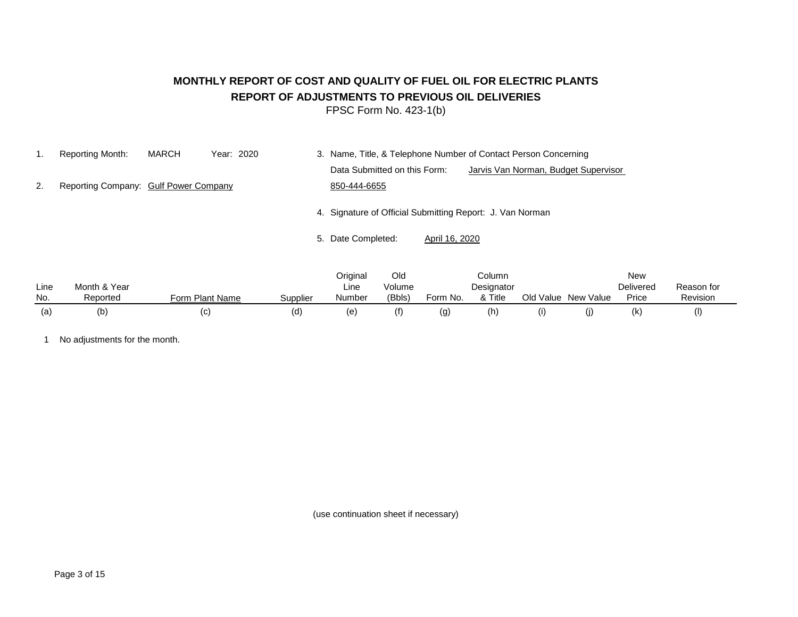# **MONTHLY REPORT OF COST AND QUALITY OF FUEL OIL FOR ELECTRIC PLANTS REPORT OF ADJUSTMENTS TO PREVIOUS OIL DELIVERIES**

FPSC Form No. 423-1(b)

|    | Reporting Month:                      | <b>MARCH</b> | Year: 2020 | 3. Name, Title, & Telephone Number of Contact Person Concerning |                                      |
|----|---------------------------------------|--------------|------------|-----------------------------------------------------------------|--------------------------------------|
|    |                                       |              |            | Data Submitted on this Form:                                    | Jarvis Van Norman, Budget Supervisor |
| 2. | Reporting Company: Gulf Power Company |              |            | 850-444-6655                                                    |                                      |
|    |                                       |              |            | 4. Signature of Official Submitting Report: J. Van Norman       |                                      |

5. Date Completed: April 16, 2020

|      |              |                 |          | Original | Old    |          | Column     |           |           | <b>New</b> |            |  |
|------|--------------|-----------------|----------|----------|--------|----------|------------|-----------|-----------|------------|------------|--|
| Line | Month & Year |                 |          | Line     | Volume |          | Designator |           |           | Delivered  | Reason for |  |
| No.  | Reported     | Form Plant Name | Supplier | Number   | (Bbls) | Form No. | & Title    | Old Value | New Value | Price      | Revision   |  |
| (a)  | (b)          | (C)             | (d)      | (e)      | f(f)   | (g)      | (h)        |           |           | (k)        |            |  |

1 No adjustments for the month.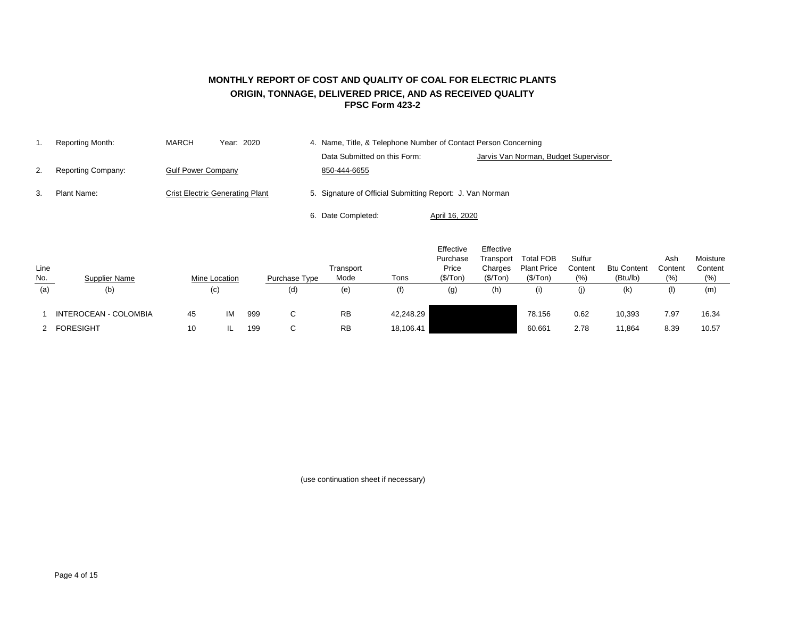## **FPSC Form 423-2 MONTHLY REPORT OF COST AND QUALITY OF COAL FOR ELECTRIC PLANTS ORIGIN, TONNAGE, DELIVERED PRICE, AND AS RECEIVED QUALITY**

|    | Reporting Month:   | <b>MARCH</b>              | Year: 2020                             | 4. Name, Title, & Telephone Number of Contact Person Concerning |                                      |  |  |  |  |  |
|----|--------------------|---------------------------|----------------------------------------|-----------------------------------------------------------------|--------------------------------------|--|--|--|--|--|
|    |                    |                           |                                        | Data Submitted on this Form:                                    | Jarvis Van Norman, Budget Supervisor |  |  |  |  |  |
| 2. | Reporting Company: | <b>Gulf Power Company</b> |                                        | 850-444-6655                                                    |                                      |  |  |  |  |  |
| 3. | Plant Name:        |                           | <b>Crist Electric Generating Plant</b> | 5. Signature of Official Submitting Report: J. Van Norman       |                                      |  |  |  |  |  |
|    |                    |                           |                                        | 6. Date Completed:                                              | April 16, 2020                       |  |  |  |  |  |

| Line<br><u>No.</u> | <b>Supplier Name</b>  |    | <b>Mine Location</b> |     | Purchase Type | Transport<br>Mode | Tons      | Effective<br>Purchase<br>Price<br>(\$/Top) | Effective<br>Transport<br>Charges<br>(\$/Top) | <b>Total FOB</b><br><b>Plant Price</b><br>(\$/Top) | Sulfur<br>Content<br>(% ) | <b>Btu Content</b><br>(Btu/lb) | Ash<br>Content<br>(% ) | Moisture<br>Content<br>(% ) |
|--------------------|-----------------------|----|----------------------|-----|---------------|-------------------|-----------|--------------------------------------------|-----------------------------------------------|----------------------------------------------------|---------------------------|--------------------------------|------------------------|-----------------------------|
| (a)                | (b)                   |    | (c)                  |     | (d)           | (e)               | (f)       | (g)                                        | (h)                                           | (i)                                                | (j)                       | (k)                            | (1)                    | (m)                         |
|                    | INTEROCEAN - COLOMBIA | 45 | IM                   | 999 | C.            | <b>RB</b>         | 42,248.29 |                                            |                                               | 78.156                                             | 0.62                      | 10,393                         | 7.97                   | 16.34                       |
|                    | 2 FORESIGHT           | 10 |                      | 199 | $\sim$<br>◡   | <b>RB</b>         | 18,106.41 |                                            |                                               | 60.661                                             | 2.78                      | 11,864                         | 8.39                   | 10.57                       |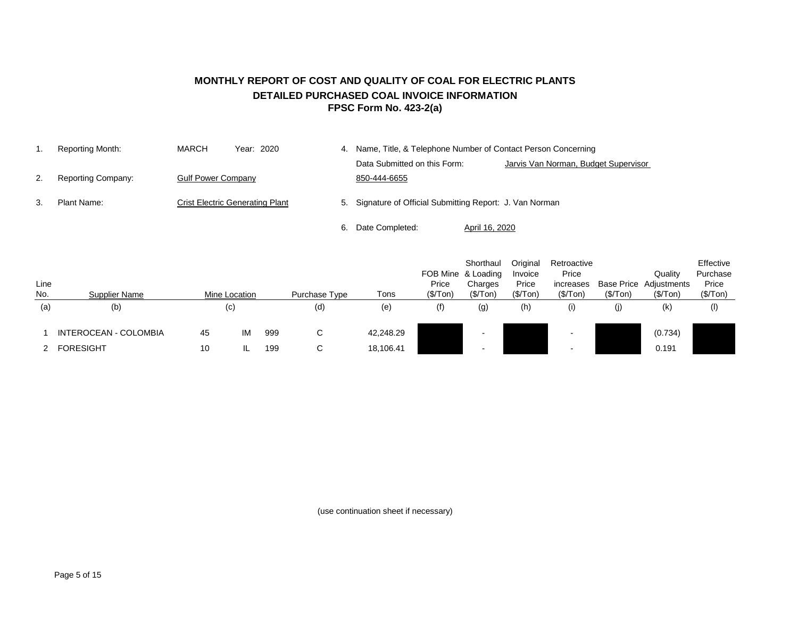## **MONTHLY REPORT OF COST AND QUALITY OF COAL FOR ELECTRIC PLANTS DETAILED PURCHASED COAL INVOICE INFORMATION FPSC Form No. 423-2(a)**

|    | Reporting Month:          | <b>MARCH</b>              | Year: 2020                             |    | Name, Title, & Telephone Number of Contact Person Concerning |                |                                      |  |  |
|----|---------------------------|---------------------------|----------------------------------------|----|--------------------------------------------------------------|----------------|--------------------------------------|--|--|
|    |                           |                           |                                        |    | Data Submitted on this Form:                                 |                | Jarvis Van Norman, Budget Supervisor |  |  |
|    | <b>Reporting Company:</b> | <b>Gulf Power Company</b> |                                        |    | 850-444-6655                                                 |                |                                      |  |  |
| З. | Plant Name:               |                           | <b>Crist Electric Generating Plant</b> |    | 5. Signature of Official Submitting Report: J. Van Norman    |                |                                      |  |  |
|    |                           |                           |                                        | 6. | Date Completed:                                              | April 16, 2020 |                                      |  |  |

| Line<br>No. | <b>Supplier Name</b>  |    | Mine Location     |     | Purchase Type | Tons      | Price<br>(\$/ Ton) | Shorthaul<br>FOB Mine & Loading<br>Charges<br>(\$/Top) | Original<br>Invoice<br>Price<br>(\$/Top) | Retroactive<br>Price<br>increases<br>(\$/Top) | (\$/ Ton) | Quality<br><b>Base Price Adjustments</b><br>(\$/Top) | Effective<br>Purchase<br>Price<br>(\$/Top) |
|-------------|-----------------------|----|-------------------|-----|---------------|-----------|--------------------|--------------------------------------------------------|------------------------------------------|-----------------------------------------------|-----------|------------------------------------------------------|--------------------------------------------|
| (a)         | (b)                   |    | $\left( c\right)$ |     | (d)           | (e)       | (f)                | (g)                                                    | (h)                                      | (i)                                           | (j)       | (k)                                                  | $($ l $)$                                  |
|             | INTEROCEAN - COLOMBIA | 45 | IM                | 999 | C.            | 42,248.29 |                    |                                                        |                                          |                                               |           | (0.734)                                              |                                            |
|             | <b>FORESIGHT</b>      | 10 |                   | 199 | C.            | 18,106.41 |                    |                                                        |                                          |                                               |           | 0.191                                                |                                            |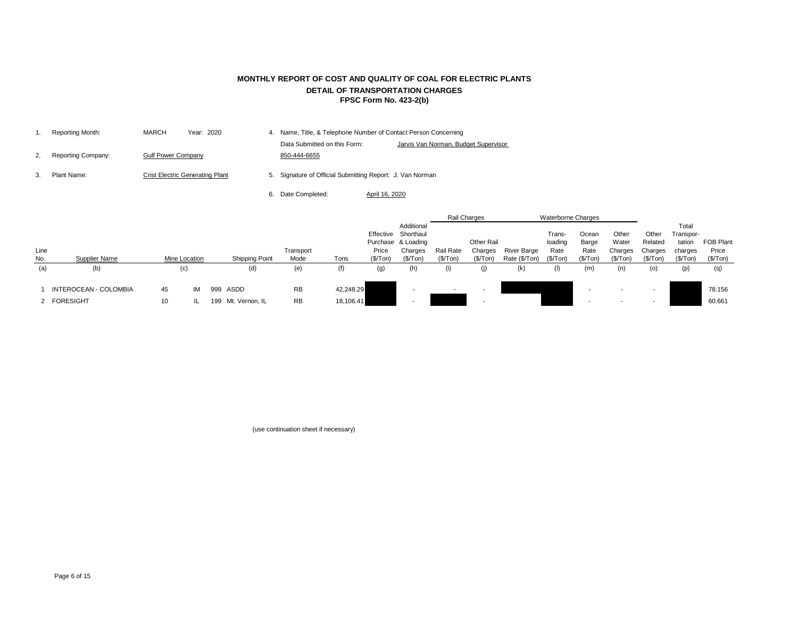|    | Reporting Month:   | <b>MARCH</b>              | Year: 2020                             | 4. Name, Title, & Telephone Number of Contact Person Concerning |                                      |  |  |  |  |
|----|--------------------|---------------------------|----------------------------------------|-----------------------------------------------------------------|--------------------------------------|--|--|--|--|
|    |                    |                           |                                        | Data Submitted on this Form:                                    | Jarvis Van Norman, Budget Supervisor |  |  |  |  |
|    | Reporting Company: | <b>Gulf Power Company</b> |                                        | 850-444-6655                                                    |                                      |  |  |  |  |
| З. | Plant Name:        |                           | <b>Crist Electric Generating Plant</b> | 5. Signature of Official Submitting Report: J. Van Norman       |                                      |  |  |  |  |

6. Date Completed: April 16, 2020

|      |                       |    |               |                       |           |           |          |                     |                  | Rail Charges             |                    | <b>Waterborne Charges</b> |          |           |          |           |                  |
|------|-----------------------|----|---------------|-----------------------|-----------|-----------|----------|---------------------|------------------|--------------------------|--------------------|---------------------------|----------|-----------|----------|-----------|------------------|
|      |                       |    |               |                       |           |           |          | Additional          |                  |                          |                    |                           |          |           |          | Total     |                  |
|      |                       |    |               |                       |           |           |          | Effective Shorthaul |                  |                          |                    | Trans-                    | Ocean    | Other     | Other    | Transpor- |                  |
|      |                       |    |               |                       |           |           |          | Purchase & Loading  |                  | Other Rail               |                    | loading                   | Barge    | Water     | Related  | tation    | <b>FOB Plant</b> |
| Line |                       |    |               |                       | Transport |           | Price    | Charges             | <b>Rail Rate</b> | Charges                  | <b>River Barge</b> | Rate                      | Rate     | Charges   | Charges  | charges   | Price            |
| No.  | Supplier Name         |    | Mine Location | <b>Shipping Point</b> | Mode      | Tons      | (\$/Top) | (\$/Top)            | (\$/Top)         | (\$/Top)                 | Rate (\$/Ton)      | (\$/Ton)                  | (\$/Top) | (\$/ Ton) | (\$/Top) | (\$/ Ton) | (\$/Ton)         |
| (a)  | (b)                   |    | (c)           | (d)                   | (e)       | (f)       | (g)      | (h)                 | (i)              | (j)                      | (k)                | (I)                       | (m)      | (n)       | (o)      | (p)       | (q)              |
|      | INTEROCEAN - COLOMBIA | 45 | IМ            | 999 ASDD              | <b>RB</b> | 42,248.29 |          |                     | $\sim$           | $\overline{\phantom{a}}$ |                    |                           |          |           | -        |           | 78.156           |
|      | 2 FORESIGHT           | 10 |               | 199 Mt. Vernon, IL    | <b>RB</b> | 18,106.41 |          |                     |                  | $\overline{\phantom{a}}$ |                    |                           |          |           | -        |           | 60.661           |

## **MONTHLY REPORT OF COST AND QUALITY OF COAL FOR ELECTRIC PLANTS DETAIL OF TRANSPORTATION CHARGES FPSC Form No. 423-2(b)**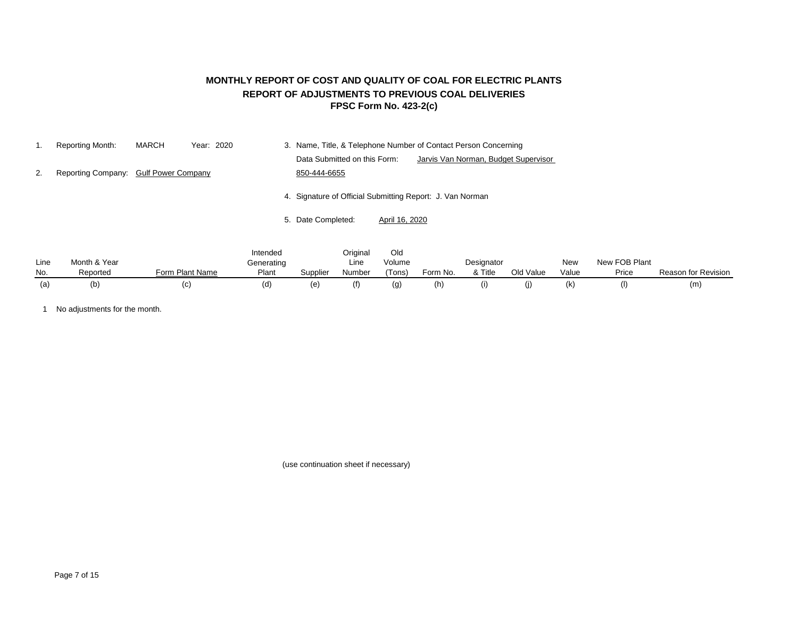## **FPSC Form No. 423-2(c) MONTHLY REPORT OF COST AND QUALITY OF COAL FOR ELECTRIC PLANTS REPORT OF ADJUSTMENTS TO PREVIOUS COAL DELIVERIES**

|    | Reporting Month:                      | MARCH | Year: 2020 | 3. Name, Title, & Telephone Number of Contact Person Concerning      |
|----|---------------------------------------|-------|------------|----------------------------------------------------------------------|
|    |                                       |       |            | Data Submitted on this Form:<br>Jarvis Van Norman, Budget Supervisor |
| 2. | Reporting Company: Gulf Power Company |       |            | 850-444-6655                                                         |
|    |                                       |       |            | 4. Signature of Official Submitting Report: J. Van Norman            |
|    |                                       |       |            | 5. Date Completed:<br>April 16, 2020                                 |

|      |              |                 | Intended   |          | Original | Old    |          |            |           |       |               |                            |
|------|--------------|-----------------|------------|----------|----------|--------|----------|------------|-----------|-------|---------------|----------------------------|
| Line | Month & Year |                 | Generating |          | Line     | Volume |          | Designator |           | New   | New FOB Plant |                            |
| No.  | Reported     | Form Plant Name | Plant      | Supplier | Number   | 'Tons) | Form No. | & Title    | Old Value | Value | Price         | <b>Reason for Revision</b> |
| (a   | (b           | (C              | d)         | (e)      | (f)      | (Q)    | (h)      |            | (I)       | (k)   |               | (m                         |

1 No adjustments for the month.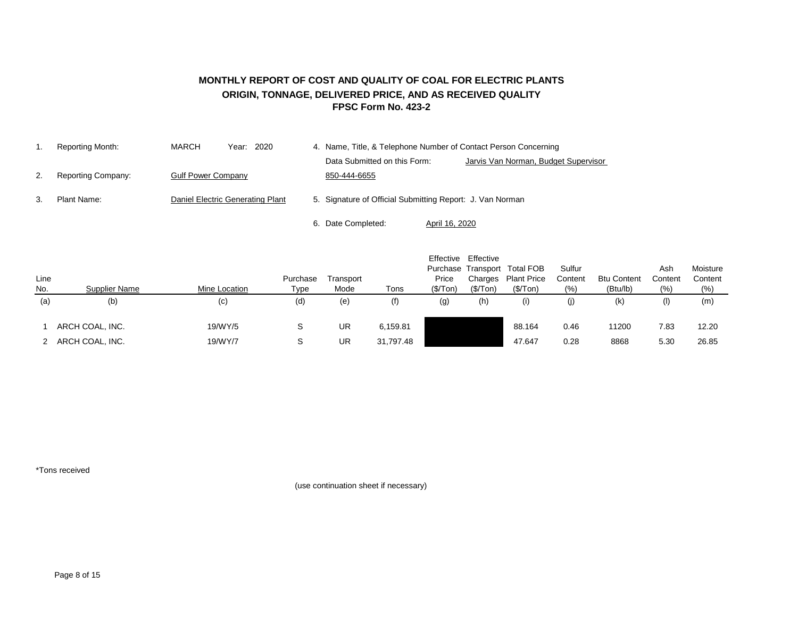#### **MONTHLY REPORT OF COST AND QUALITY OF COAL FOR ELECTRIC PLANTS ORIGIN, TONNAGE, DELIVERED PRICE, AND AS RECEIVED QUALITY FPSC Form No. 423-2**

|    | Reporting Month:          | <b>MARCH</b>                     | Year: 2020 |  | 4. Name, Title, & Telephone Number of Contact Person Concerning |                                      |  |  |  |  |
|----|---------------------------|----------------------------------|------------|--|-----------------------------------------------------------------|--------------------------------------|--|--|--|--|
|    |                           |                                  |            |  | Data Submitted on this Form:                                    | Jarvis Van Norman, Budget Supervisor |  |  |  |  |
| 2. | <b>Reporting Company:</b> | <b>Gulf Power Company</b>        |            |  | 850-444-6655                                                    |                                      |  |  |  |  |
| 3. | Plant Name:               | Daniel Electric Generating Plant |            |  | 5. Signature of Official Submitting Report: J. Van Norman       |                                      |  |  |  |  |
|    |                           |                                  |            |  |                                                                 |                                      |  |  |  |  |
|    |                           |                                  |            |  | 6. Date Completed:<br>April 16, 2020                            |                                      |  |  |  |  |

| Line<br>No. | Supplier Name   | Mine Location | Purchase<br>Type | Transport<br>Mode | Tons      | Effective<br>Price<br>(\$/Top) | Effective<br>Charges<br>(\$/Top) | Purchase Transport Total FOB<br><b>Plant Price</b><br>(\$/Top) | Sulfur<br>Content<br>$(\% )$ | <b>Btu Content</b><br>(Btu/lb) | Ash<br>Content<br>(% ) | Moisture<br>Content<br>(%) |
|-------------|-----------------|---------------|------------------|-------------------|-----------|--------------------------------|----------------------------------|----------------------------------------------------------------|------------------------------|--------------------------------|------------------------|----------------------------|
| (a)         | (b)             | (c)           | (d)              | (e)               | (f)       | (g)                            | (h)                              | (i)                                                            | (j)                          | (k)                            | (I)                    | (m)                        |
|             | ARCH COAL, INC. | 19/WY/5       | S                | UR                | 6,159.81  |                                |                                  | 88.164                                                         | 0.46                         | 11200                          | 7.83                   | 12.20                      |
|             | ARCH COAL, INC. | 19/WY/7       |                  | <b>UR</b>         | 31,797.48 |                                |                                  | 47.647                                                         | 0.28                         | 8868                           | 5.30                   | 26.85                      |

\*Tons received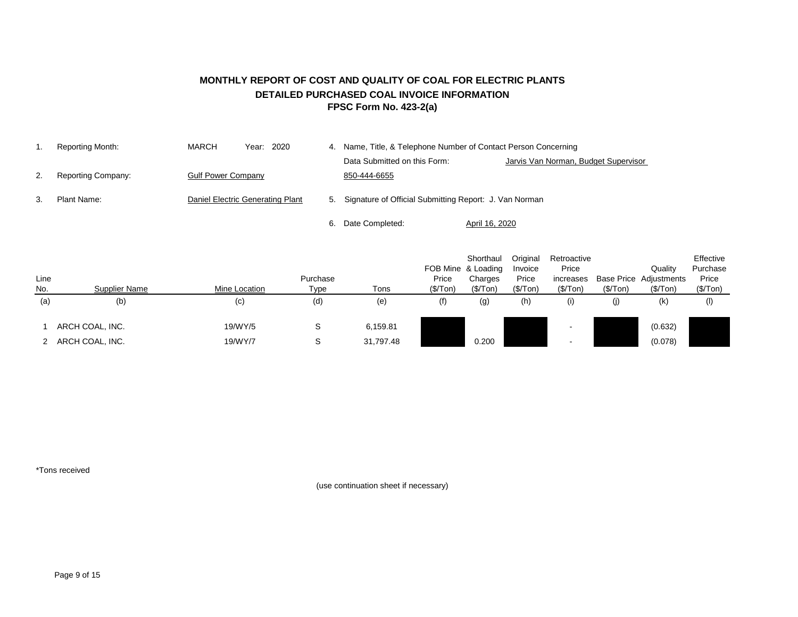## **MONTHLY REPORT OF COST AND QUALITY OF COAL FOR ELECTRIC PLANTS DETAILED PURCHASED COAL INVOICE INFORMATION FPSC Form No. 423-2(a)**

|    | Reporting Month:          | <b>MARCH</b>              | 2020<br>Year:                    | 4. | Name, Title, & Telephone Number of Contact Person Concerning |                |                                      |  |  |  |
|----|---------------------------|---------------------------|----------------------------------|----|--------------------------------------------------------------|----------------|--------------------------------------|--|--|--|
|    |                           |                           |                                  |    | Data Submitted on this Form:                                 |                | Jarvis Van Norman, Budget Supervisor |  |  |  |
|    | <b>Reporting Company:</b> | <b>Gulf Power Company</b> |                                  |    | 850-444-6655                                                 |                |                                      |  |  |  |
| 3. | Plant Name:               |                           | Daniel Electric Generating Plant |    | 5. Signature of Official Submitting Report: J. Van Norman    |                |                                      |  |  |  |
|    |                           |                           |                                  | 6. | Date Completed:                                              | April 16, 2020 |                                      |  |  |  |

|      |                 |               |          |           |           | Shorthaul<br>FOB Mine & Loading | Original<br>Invoice | Retroactive<br>Price |           | Quality                       | Effective<br>Purchase |
|------|-----------------|---------------|----------|-----------|-----------|---------------------------------|---------------------|----------------------|-----------|-------------------------------|-----------------------|
| Line |                 |               | Purchase |           | Price     | Charges                         | Price               | increases            |           | <b>Base Price Adjustments</b> | Price                 |
| No.  | Supplier Name   | Mine Location | Type     | Tons      | (\$/ Ton) | (\$/Top)                        | (\$/Top)            | (\$/Top)             | (\$/ Ton) | (\$/Top)                      | (\$/Top)              |
| (a)  | (b)             | (c)           | (d)      | (e)       | (f)       | (g)                             | (h)                 | (i)                  | (j)       | (k)                           | $($ l $)$             |
|      | ARCH COAL, INC. | 19/WY/5       | S        | 6,159.81  |           |                                 |                     |                      |           | (0.632)                       |                       |
|      | ARCH COAL, INC. | 19/WY/7       | S        | 31,797.48 |           | 0.200                           |                     |                      |           | (0.078)                       |                       |

\*Tons received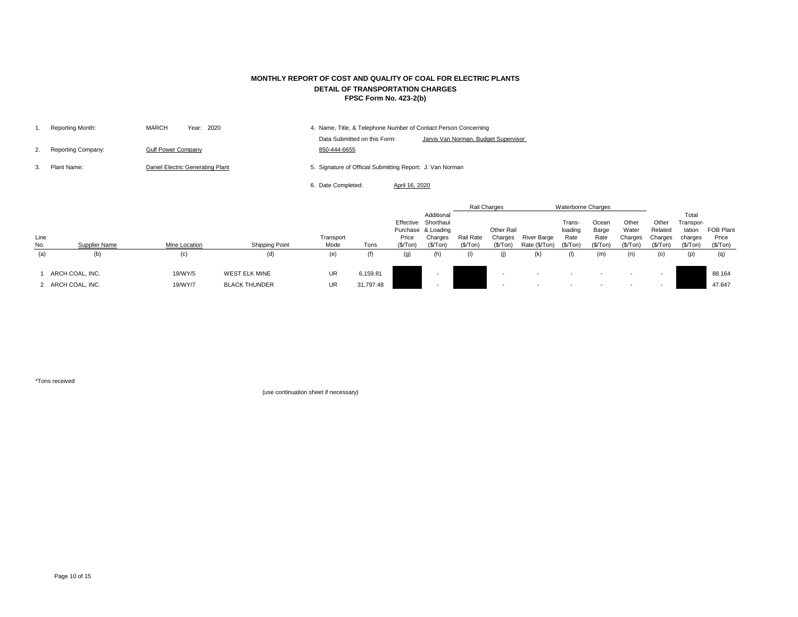|    | Reporting Month:          | Year: 2020<br><b>MARCH</b>       | 4. Name, Title, & Telephone Number of Contact Person Concerning      |
|----|---------------------------|----------------------------------|----------------------------------------------------------------------|
|    |                           |                                  | Jarvis Van Norman, Budget Supervisor<br>Data Submitted on this Form: |
| 2. | <b>Reporting Company:</b> | <b>Gulf Power Company</b>        | 850-444-6655                                                         |
|    | Plant Name:               | Daniel Electric Generating Plant | 5. Signature of Official Submitting Report: J. Van Norman            |
|    |                           |                                  | 6. Date Completed:<br>April 16, 2020                                 |

|      |                      |                      |                       |           |           |           |                     |           | Rail Charges      |                    | <b>Waterborne Charges</b> |          |          |          |           |           |
|------|----------------------|----------------------|-----------------------|-----------|-----------|-----------|---------------------|-----------|-------------------|--------------------|---------------------------|----------|----------|----------|-----------|-----------|
|      |                      |                      |                       |           |           |           | Additional          |           |                   |                    |                           |          |          |          | Total     |           |
|      |                      |                      |                       |           |           |           | Effective Shorthaul |           |                   |                    | Trans-                    | Ocean    | Other    | Other    | Transpor- |           |
|      |                      |                      |                       |           |           |           | Purchase & Loading  |           | <b>Other Rail</b> |                    | loading                   | Barge    | Water    | Related  | tation    | FOB Plant |
| Line |                      |                      |                       | Transport |           | Price     | Charges             | Rail Rate | Charges           | <b>River Barge</b> | Rate                      | Rate     | Charges  | Charges  | charges   | Price     |
| No.  | <b>Supplier Name</b> | <b>Mine Location</b> | <b>Shipping Point</b> | Mode      | Tons      | (\$/ Ton) | (S/Ton)             | (\$/Top)  | (\$/ Ton)         | Rate (\$/Ton)      | (\$/Ton)                  | (\$/Top) | (\$/Top) | (\$/Tom) | (\$/Ton)  | (\$/Top)  |
| (a)  | (b)                  | (c)                  | (d)                   | (e)       | (f)       | (g)       |                     | (i)       |                   | (k)                |                           | (m)      | (n)      | (0)      | (p)       |           |
|      | ARCH COAL, INC.      | 19/WY/5              | <b>WEST ELK MINE</b>  | <b>UR</b> | 6,159.81  |           |                     |           |                   |                    |                           |          |          |          |           | 88.164    |
|      | 2 ARCH COAL, INC.    | 19/WY/7              | <b>BLACK THUNDER</b>  | <b>UR</b> | 31,797.48 |           |                     |           |                   |                    |                           |          |          |          |           | 47.647    |

\*Tons received

## **MONTHLY REPORT OF COST AND QUALITY OF COAL FOR ELECTRIC PLANTS DETAIL OF TRANSPORTATION CHARGES FPSC Form No. 423-2(b)**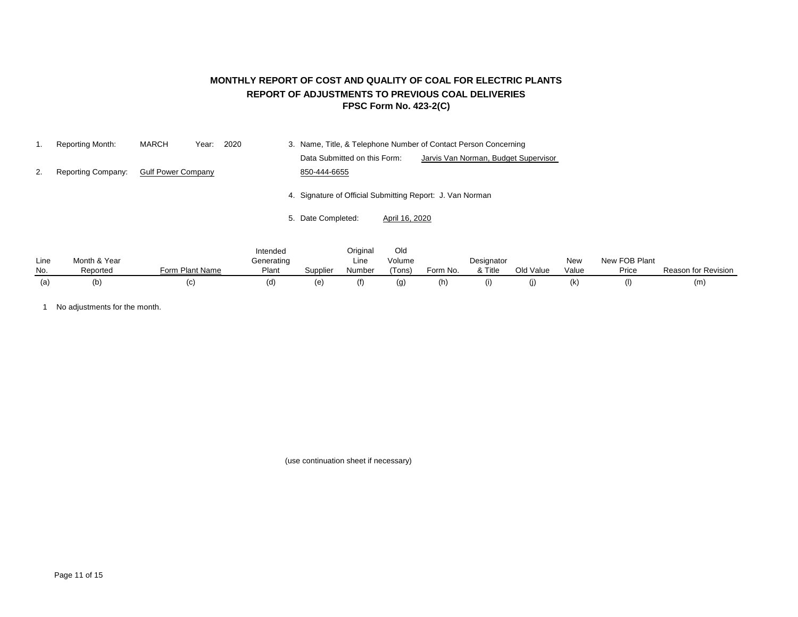## **MONTHLY REPORT OF COST AND QUALITY OF COAL FOR ELECTRIC PLANTS REPORT OF ADJUSTMENTS TO PREVIOUS COAL DELIVERIES FPSC Form No. 423-2(C)**

|    | <b>Reporting Month:</b>   | <b>MARCH</b>              | 2020<br>Year: |          | 3. Name, Title, & Telephone Number of Contact Person Concerning      |
|----|---------------------------|---------------------------|---------------|----------|----------------------------------------------------------------------|
|    |                           |                           |               |          | Data Submitted on this Form:<br>Jarvis Van Norman, Budget Supervisor |
| 2. | <b>Reporting Company:</b> | <b>Gulf Power Company</b> |               |          | 850-444-6655                                                         |
|    |                           |                           |               |          | 4. Signature of Official Submitting Report: J. Van Norman            |
|    |                           |                           |               |          | 5. Date Completed:<br>April 16, 2020                                 |
|    |                           |                           |               | Intended | Original<br>Old                                                      |

| Line | Month & Year |                      | <u>IIIGHUGU</u><br>Generating |          | Ununai<br>Line | viu<br>Volume |          | Designator |           | <b>New</b> | New FOB Plant |                     |
|------|--------------|----------------------|-------------------------------|----------|----------------|---------------|----------|------------|-----------|------------|---------------|---------------------|
| No.  | Reported     | n Plant Name<br>-orm | Plant                         | Supplier | Number         | 'Tons)        | Form No. | & Title    | Old Value | Value      | Price         | Reason for Revision |
|      | (b)          |                      | (d                            | (e       |                | (g)           | (h)      |            |           |            | (1)           | (m                  |

1 No adjustments for the month.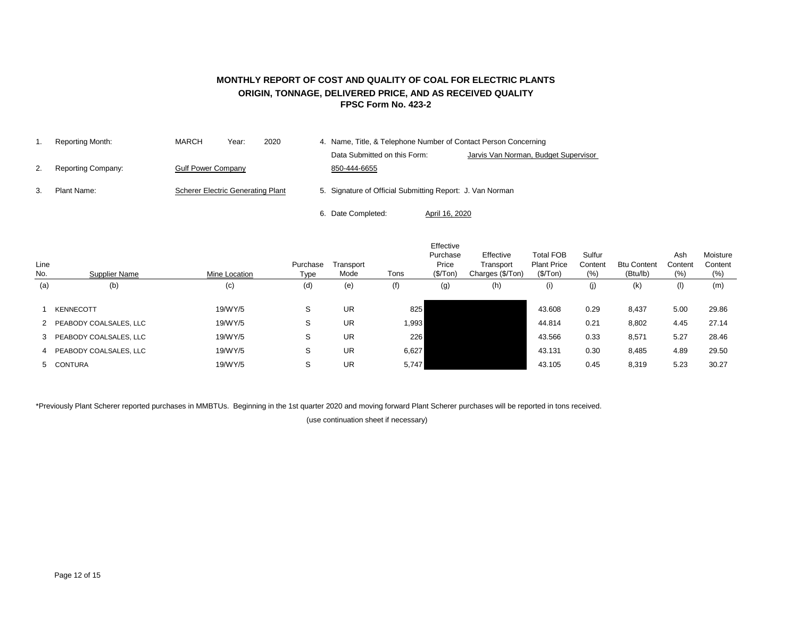### **MONTHLY REPORT OF COST AND QUALITY OF COAL FOR ELECTRIC PLANTS ORIGIN, TONNAGE, DELIVERED PRICE, AND AS RECEIVED QUALITY FPSC Form No. 423-2**

|    | Reporting Month:          | <b>MARCH</b>                             | Year: | 2020 | 4. Name, Title, & Telephone Number of Contact Person Concerning |                |                                      |
|----|---------------------------|------------------------------------------|-------|------|-----------------------------------------------------------------|----------------|--------------------------------------|
|    |                           |                                          |       |      | Data Submitted on this Form:                                    |                | Jarvis Van Norman, Budget Supervisor |
| 2. | <b>Reporting Company:</b> | <b>Gulf Power Company</b>                |       |      | 850-444-6655                                                    |                |                                      |
| 3. | Plant Name:               | <b>Scherer Electric Generating Plant</b> |       |      | 5. Signature of Official Submitting Report: J. Van Norman       |                |                                      |
|    |                           |                                          |       |      | 6. Date Completed:                                              | April 16, 2020 |                                      |

| Line<br>No. | Supplier Name            | Mine Location | Purchase<br>Type | Transport<br>Mode | Tons  | Effective<br>Purchase<br>Price<br>(\$/ Ton) | Effective<br>Transport<br>Charges (\$/Ton) | <b>Total FOB</b><br><b>Plant Price</b><br>(\$/Top) | Sulfur<br>Content<br>(% ) | <b>Btu Content</b><br>(Btu/lb) | Ash<br>Content<br>(% ) | Moisture<br>Content<br>(% ) |
|-------------|--------------------------|---------------|------------------|-------------------|-------|---------------------------------------------|--------------------------------------------|----------------------------------------------------|---------------------------|--------------------------------|------------------------|-----------------------------|
| (a)         | (b)                      | (c)           | (d)              | (e)               | (f)   | (g)                                         | (h)                                        | (i)                                                | (j)                       | (k)                            | (1)                    | (m)                         |
|             | <b>KENNECOTT</b>         | 19/WY/5       | S                | <b>UR</b>         | 825   |                                             |                                            | 43.608                                             | 0.29                      | 8,437                          | 5.00                   | 29.86                       |
|             | 2 PEABODY COALSALES, LLC | 19/WY/5       | S                | <b>UR</b>         | 1,993 |                                             |                                            | 44.814                                             | 0.21                      | 8,802                          | 4.45                   | 27.14                       |
|             | 3 PEABODY COALSALES, LLC | 19/WY/5       | S                | <b>UR</b>         | 226   |                                             |                                            | 43.566                                             | 0.33                      | 8,571                          | 5.27                   | 28.46                       |
|             | 4 PEABODY COALSALES, LLC | 19/WY/5       | S                | <b>UR</b>         | 6,627 |                                             |                                            | 43.131                                             | 0.30                      | 8,485                          | 4.89                   | 29.50                       |
|             | 5 CONTURA                | 19/WY/5       | S                | <b>UR</b>         | 5,747 |                                             |                                            | 43.105                                             | 0.45                      | 8,319                          | 5.23                   | 30.27                       |

\*Previously Plant Scherer reported purchases in MMBTUs. Beginning in the 1st quarter 2020 and moving forward Plant Scherer purchases will be reported in tons received.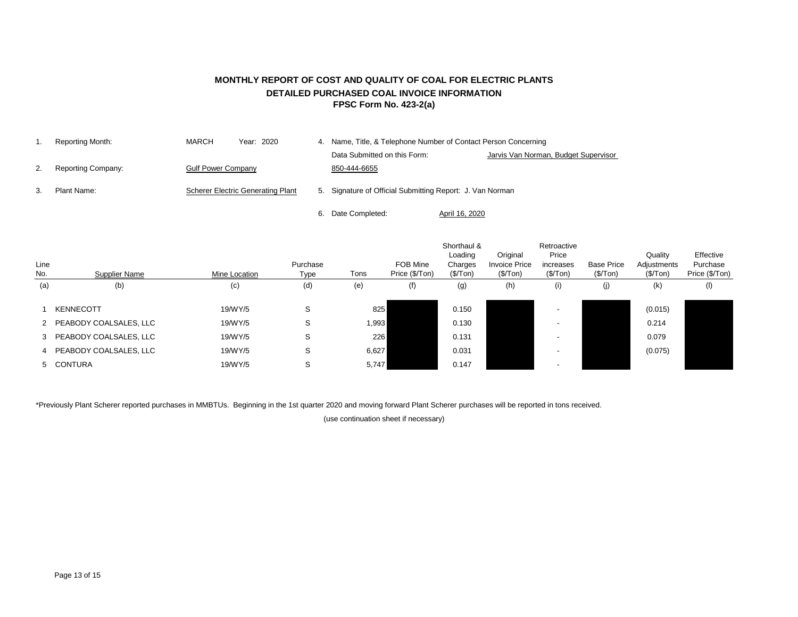## **MONTHLY REPORT OF COST AND QUALITY OF COAL FOR ELECTRIC PLANTS DETAILED PURCHASED COAL INVOICE INFORMATION FPSC Form No. 423-2(a)**

|    | Reporting Month:          | MARCH                     | Year: 2020                               | 4. Name, Title, & Telephone Number of Contact Person Concerning |                                      |
|----|---------------------------|---------------------------|------------------------------------------|-----------------------------------------------------------------|--------------------------------------|
|    |                           |                           |                                          | Data Submitted on this Form:                                    | Jarvis Van Norman, Budget Supervisor |
| 2. | <b>Reporting Company:</b> | <b>Gulf Power Company</b> |                                          | 850-444-6655                                                    |                                      |
| 3. | Plant Name:               |                           | <b>Scherer Electric Generating Plant</b> | 5. Signature of Official Submitting Report: J. Van Norman       |                                      |
|    |                           |                           |                                          | Date Completed:                                                 | April 16, 2020                       |

|             |                          |               |                  |       |                            | Shorthaul &<br>Loading | Original                          | Retroactive<br>Price  |                               | Quality                 | Effective                  |
|-------------|--------------------------|---------------|------------------|-------|----------------------------|------------------------|-----------------------------------|-----------------------|-------------------------------|-------------------------|----------------------------|
| Line<br>No. | Supplier Name            | Mine Location | Purchase<br>Type | Tons  | FOB Mine<br>Price (\$/Ton) | Charges<br>(\$/ Ton)   | <b>Invoice Price</b><br>(\$/ Ton) | increases<br>(\$/Top) | <b>Base Price</b><br>(\$/Top) | Adjustments<br>(\$/Top) | Purchase<br>Price (\$/Ton) |
| (a)         | (b)                      | (c)           | (d)              | (e)   | (f)                        | (g)                    | (h)                               | (i)                   | (j)                           | (k)                     | (1)                        |
|             | <b>KENNECOTT</b>         | 19/WY/5       | S                | 825   |                            | 0.150                  |                                   |                       |                               | (0.015)                 |                            |
|             | 2 PEABODY COALSALES, LLC | 19/WY/5       | S                | 1,993 |                            | 0.130                  |                                   |                       |                               | 0.214                   |                            |
|             | 3 PEABODY COALSALES, LLC | 19/WY/5       | S                | 226   |                            | 0.131                  |                                   |                       |                               | 0.079                   |                            |
|             | 4 PEABODY COALSALES, LLC | 19/WY/5       | S                | 6,627 |                            | 0.031                  |                                   |                       |                               | (0.075)                 |                            |
|             | 5 CONTURA                | 19/WY/5       | S                | 5,747 |                            | 0.147                  |                                   |                       |                               |                         |                            |

\*Previously Plant Scherer reported purchases in MMBTUs. Beginning in the 1st quarter 2020 and moving forward Plant Scherer purchases will be reported in tons received.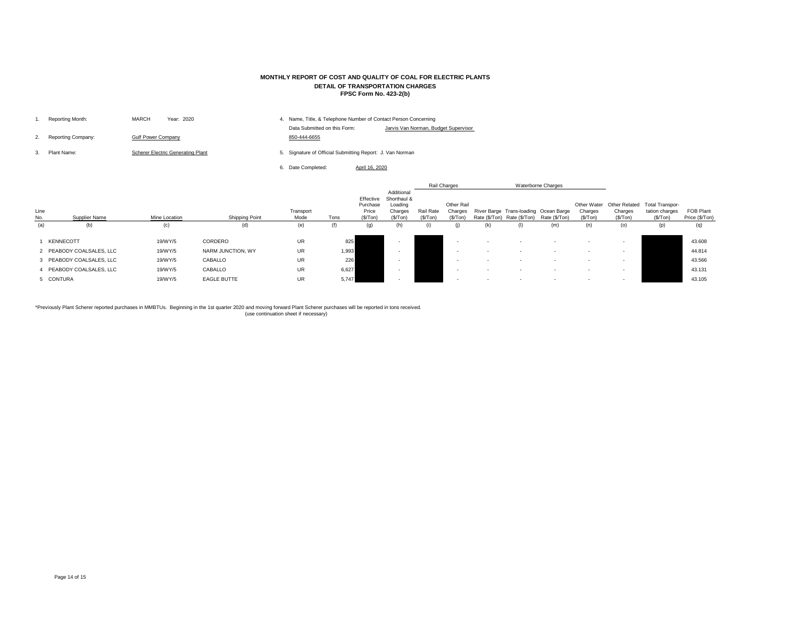| Reporting Month:          | MARCH<br>Year: 2020                      | 4. | Name, Title, & Telephone Number of Contact Person Concerning |                             |
|---------------------------|------------------------------------------|----|--------------------------------------------------------------|-----------------------------|
| <b>Reporting Company:</b> | <b>Gulf Power Company</b>                |    | Data Submitted on this Form:<br>850-444-6655                 | Jarvis Van Norman, Budget S |
| Plant Name:               | <b>Scherer Electric Generating Plant</b> |    | 5. Signature of Official Submitting Report: J. Van Norman    |                             |
|                           |                                          |    | Date Completed:                                              | April 16, 2020              |

| Line<br>No. | <b>Supplier Name</b>     | Mine Location | <b>Shipping Point</b> | Transport<br>Mode | Tons  | Effective<br>Purchase<br>Price<br>(\$/ Ton) | Additional<br>Shorthaul &<br>Loading<br>Charges<br>(\$/Top) | Rail Rate<br>(\$/Top) | Rail Charges<br><b>Other Rail</b><br>Charges<br>(\$/Top) | Rate (\$/Ton) | Rate (\$/Ton) | <b>Waterborne Charges</b><br>River Barge Trans-loading Ocean Barge<br>Rate (\$/Ton) | <b>Other Water</b><br>Charges<br>(\$/ Ton) | <b>Other Related</b><br>Charges<br>(\$/Top) | <b>Total Transpor-</b><br>tation charges<br>(\$/Ton) | <b>FOB Plant</b><br>Price (\$/Ton) |
|-------------|--------------------------|---------------|-----------------------|-------------------|-------|---------------------------------------------|-------------------------------------------------------------|-----------------------|----------------------------------------------------------|---------------|---------------|-------------------------------------------------------------------------------------|--------------------------------------------|---------------------------------------------|------------------------------------------------------|------------------------------------|
| (a)         | (b)                      | (c)           | (d)                   | (e)               | (f)   | (g)                                         | (h)                                                         |                       | (j)                                                      | (k)           |               | (m)                                                                                 | (n)                                        | (o)                                         | (p)                                                  | (q)                                |
|             | <b>KENNECOTT</b>         | 19/WY/5       | CORDERO               | <b>UR</b>         | 825   |                                             |                                                             |                       |                                                          |               |               |                                                                                     |                                            |                                             |                                                      | 43.608                             |
|             | 2 PEABODY COALSALES, LLC | 19/WY/5       | NARM JUNCTION, WY     | UR                | 1,993 |                                             |                                                             |                       |                                                          |               |               |                                                                                     |                                            |                                             |                                                      | 44.814                             |
|             | 3 PEABODY COALSALES, LLC | 19/WY/5       | <b>CABALLO</b>        | <b>UR</b>         | 226   |                                             |                                                             |                       |                                                          |               |               |                                                                                     |                                            |                                             |                                                      | 43.566                             |
|             | 4 PEABODY COALSALES, LLC | 19/WY/5       | <b>CABALLO</b>        | <b>UR</b>         | 6,627 |                                             |                                                             |                       |                                                          |               |               |                                                                                     |                                            |                                             |                                                      | 43.131                             |
|             | 5 CONTURA                | 19/WY/5       | <b>EAGLE BUTTE</b>    | <b>UR</b>         | 5,747 |                                             |                                                             |                       | $\overline{\phantom{a}}$                                 |               |               |                                                                                     | $\sim$                                     | $\overline{\phantom{a}}$                    |                                                      | 43.105                             |

## **MONTHLY REPORT OF COST AND QUALITY OF COAL FOR ELECTRIC PLANTS DETAIL OF TRANSPORTATION CHARGES FPSC Form No. 423-2(b)**

\*Previously Plant Scherer reported purchases in MMBTUs. Beginning in the 1st quarter 2020 and moving forward Plant Scherer purchases will be reported in tons received. (use continuation sheet if necessary)

#### Supervisor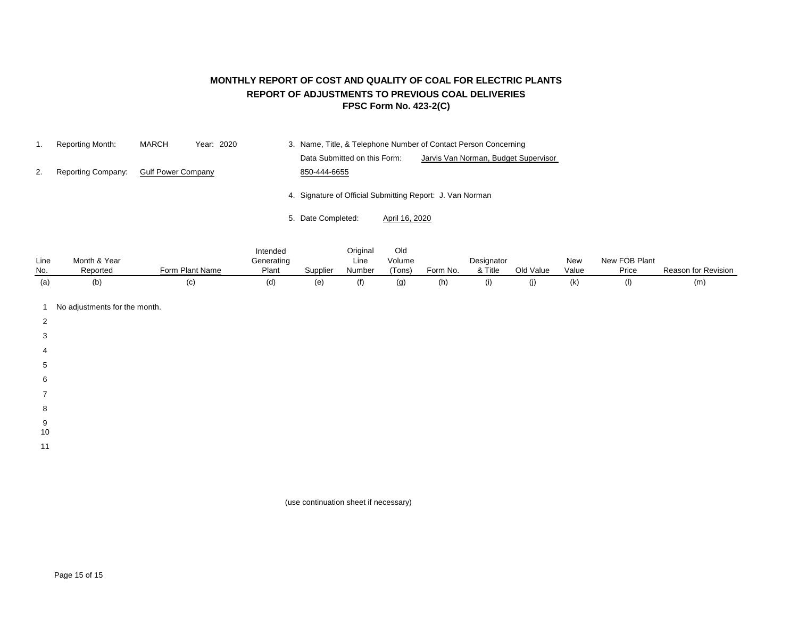## **MONTHLY REPORT OF COST AND QUALITY OF COAL FOR ELECTRIC PLANTS REPORT OF ADJUSTMENTS TO PREVIOUS COAL DELIVERIES FPSC Form No. 423-2(C)**

|    | Reporting Month:          | MARCH                     | Year: 2020 |                                                           |                | 3. Name, Title, & Telephone Number of Contact Person Concerning |  |
|----|---------------------------|---------------------------|------------|-----------------------------------------------------------|----------------|-----------------------------------------------------------------|--|
|    |                           |                           |            | Data Submitted on this Form:                              |                | Jarvis Van Norman, Budget Supervisor                            |  |
| 2. | <b>Reporting Company:</b> | <b>Gulf Power Company</b> |            | 850-444-6655                                              |                |                                                                 |  |
|    |                           |                           |            | 4. Signature of Official Submitting Report: J. Van Norman |                |                                                                 |  |
|    |                           |                           |            | 5. Date Completed:                                        | April 16, 2020 |                                                                 |  |

|      |              |                 | Intended   |          | Original | Old    |          |            |           |       |               |                     |
|------|--------------|-----------------|------------|----------|----------|--------|----------|------------|-----------|-------|---------------|---------------------|
| Line | Month & Year |                 | Generating |          | Line     | Volume |          | Designator |           | New   | New FOB Plant |                     |
| No.  | Reported     | Form Plant Name | Plant      | Supplier | Number   | (Tons) | Form No. | & Title    | Old Value | Value | Price         | Reason for Revision |
| (a)  | (b           | (C)             | (d)        | (e)      | (f)      |        | (h)      | (۱)        |           | (k)   |               | (m)                 |

- 1 No adjustments for the month.
- 2
- 
- 3
- 4
- 5
- 
- 6
- 7
- 8
- 9
- 10
- 11

(use continuation sheet if necessary)

Page 15 of 15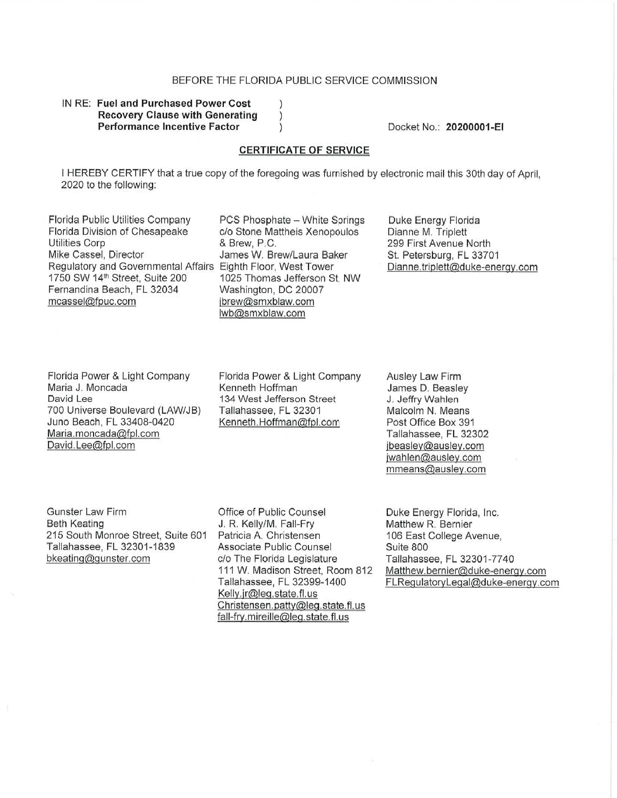#### BEFORE THE FLORIDA PUBLIC SERVICE COMMISSION

 $\lambda$  $\left( \right)$  $\mathcal{E}$ 

#### IN **RE: Fuel and Purchased Power Cost Recovery Clause with Generating Performance Incentive Factor**

Docket No.: **20200001-EI** 

#### **CERTIFICATE OF SERVICE**

I HEREBY CERTIFY that a true copy of the foregoing was furnished by electronic mail this 30th day of April, 2020 to the following:

Florida Public Utilities Company PCS Phosphate - White Springs Florida Division of Chesapeake c/o Stone Mattheis Xenopoulos Utilities Corp 6. The Contract of the Utilities Corp 6. The Contract of the Brew, P.C. Mike Cassel, Director **James W. Brew/Laura Baker** Regulatory and Governmental Affairs Eighth Floor, West Tower<br>1750 SW 14<sup>th</sup> Street, Suite 200 1025 Thomas Jefferson S Fernandina Beach, FL 32034 Washington, DC 20007 mcassel@fpuc.com ibrew@smxblaw.com

1025 Thomas Jefferson St, NW lwb@smxblaw.com

Duke Energy Florida Dianne M. Triplett 299 First Avenue North St. Petersburg, FL 33701 Dianne.triplett@duke-energy.com

Florida Power & Light Company Maria J. Moncada David Lee 700 Universe Boulevard (LAW/JS) Juno Beach, FL 33408-0420 Maria.moncada@fpl.com David. Lee@fpl.com

Florida Power & Light Company Kenneth Hoffman 134 West Jefferson Street Tallahassee, FL 32301 Kenneth.Hoffman@fpl.com

Ausley Law Firm James D. Beasley J. Jeffry Wahlen Malcolm N. Means Post Office Box 391 Tallahassee, **FL** 32302 jbeasley@ausley.com jwahlen@ausley.com mmeans@ausley.com

Gunster Law Firm Beth Keating 215 South Monroe Street, Suite 601 Tallahassee, FL 32301-1839 bkeating@gunster.com

Office of Public Counsel J. R. Kelly/M. Fall-Fry Patricia A. Christensen Associate Public Counsel c/o The Florida Legislature 111 W. Madison Street, Room 812 Tallahassee, **FL** 32399-1400 Kelly.jr@leg.state.fl.us Christensen. patty@leg. state. fl. us fall-fry. mireille@Jeq.state. fl. us

Duke Energy Florida, Inc. Matthew R. Bernier 106 East College Avenue, Suite 800 Tallahassee, FL 32301 -7740 Matthew.bernier@duke-energy.com FLRegulatoryLeqal@duke-energv.com